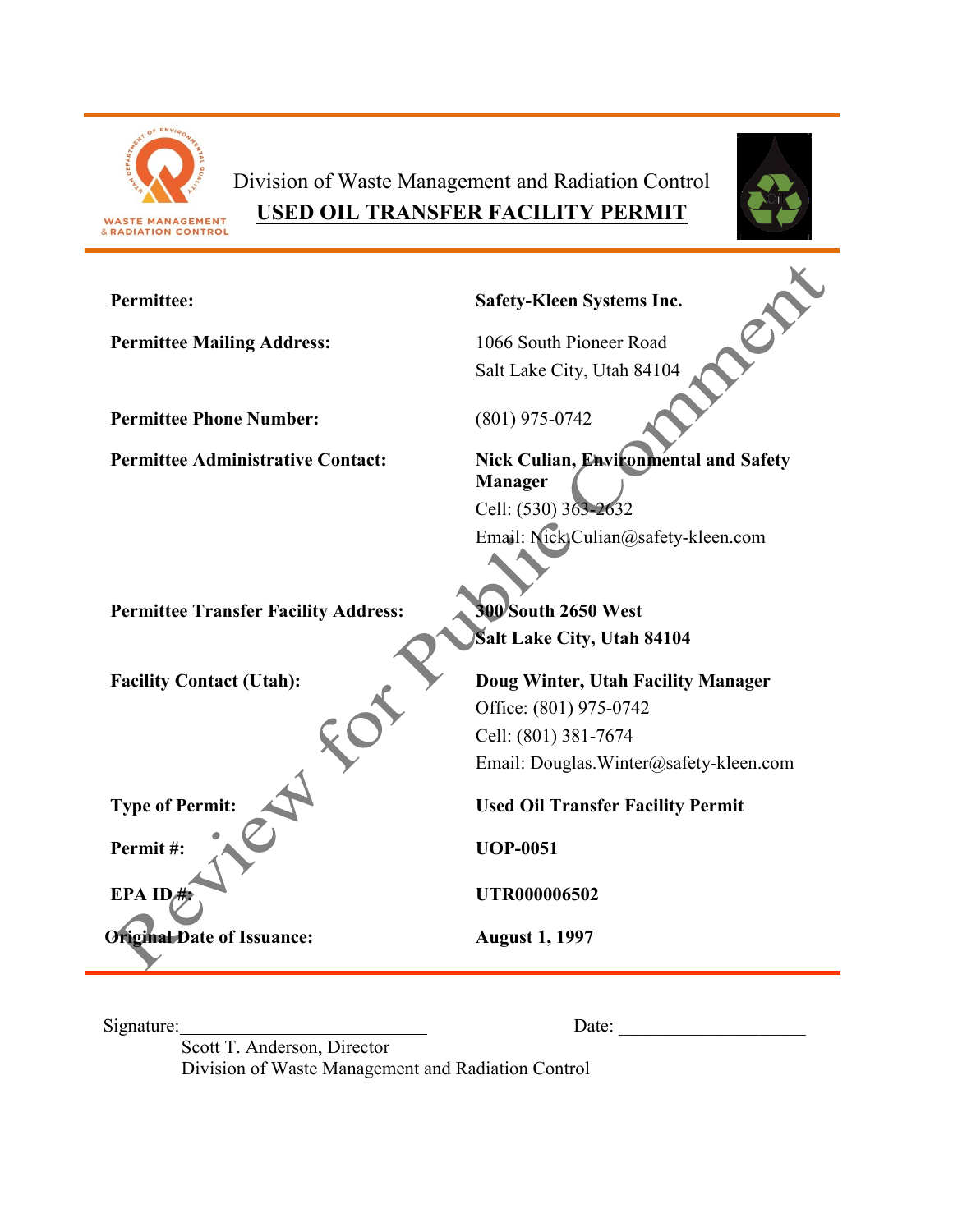

Division of Waste Management and Radiation Control **USED OIL TRANSFER FACILITY PERMIT**



| <b>Permittee:</b>                           | <b>Safety-Kleen Systems Inc.</b>                               |
|---------------------------------------------|----------------------------------------------------------------|
| <b>Permittee Mailing Address:</b>           | 1066 South Pioneer Road                                        |
|                                             | Salt Lake City, Utah 84104                                     |
| <b>Permittee Phone Number:</b>              | $(801)$ 975-0742                                               |
| <b>Permittee Administrative Contact:</b>    | <b>Nick Culian, Environmental and Safety</b><br><b>Manager</b> |
|                                             | Cell: (530) 363-2632                                           |
|                                             | Email: Nick)Culian@safety-kleen.com                            |
| <b>Permittee Transfer Facility Address:</b> | <b>300 South 2650 West</b>                                     |
|                                             | <b>Salt Lake City, Utah 84104</b>                              |
| <b>Facility Contact (Utah):</b>             | Doug Winter, Utah Facility Manager                             |
|                                             | Office: (801) 975-0742                                         |
|                                             | Cell: (801) 381-7674                                           |
|                                             | Email: Douglas. Winter@safety-kleen.com                        |
| <b>Type of Permit:</b>                      | <b>Used Oil Transfer Facility Permit</b>                       |
| Permit#:                                    | <b>UOP-0051</b>                                                |
| EPA IDA                                     | <b>UTR000006502</b>                                            |
| <b>Original Date of Issuance:</b>           | <b>August 1, 1997</b>                                          |

Signature: Date: \_\_\_\_\_\_\_\_\_\_\_\_\_\_\_\_\_\_\_\_

Scott T. Anderson, Director Division of Waste Management and Radiation Control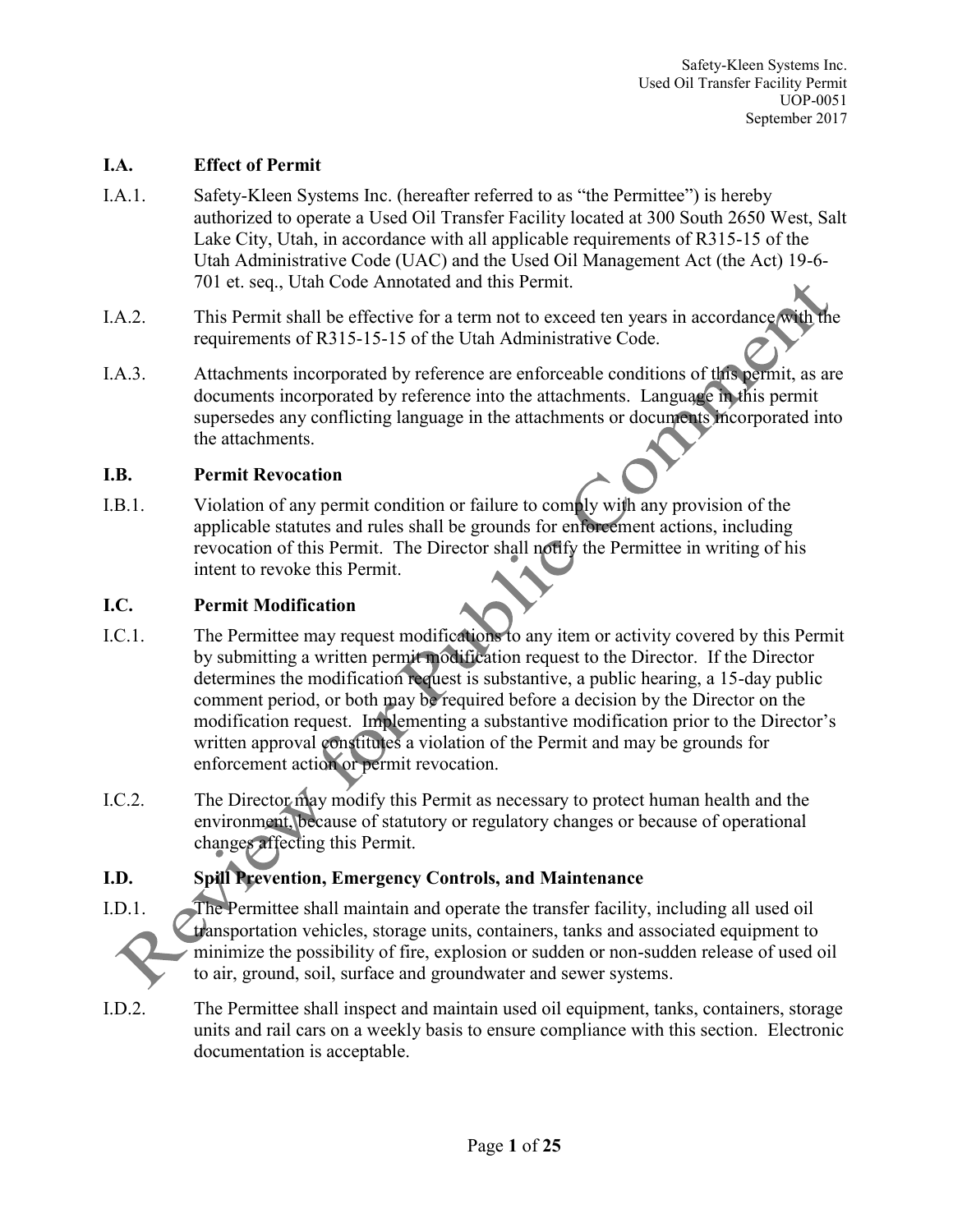#### **I.A. Effect of Permit**

- I.A.1. Safety-Kleen Systems Inc. (hereafter referred to as "the Permittee") is hereby authorized to operate a Used Oil Transfer Facility located at 300 South 2650 West, Salt Lake City, Utah, in accordance with all applicable requirements of R315-15 of the Utah Administrative Code (UAC) and the Used Oil Management Act (the Act) 19-6- 701 et. seq., Utah Code Annotated and this Permit.
- I.A.2. This Permit shall be effective for a term not to exceed ten years in accordance with the requirements of R315-15-15 of the Utah Administrative Code.
- I.A.3. Attachments incorporated by reference are enforceable conditions of this permit, as are documents incorporated by reference into the attachments. Language in this permit supersedes any conflicting language in the attachments or documents incorporated into the attachments.

#### **I.B. Permit Revocation**

I.B.1. Violation of any permit condition or failure to comply with any provision of the applicable statutes and rules shall be grounds for enforcement actions, including revocation of this Permit. The Director shall notify the Permittee in writing of his intent to revoke this Permit.

#### **I.C. Permit Modification**

- I.C.1. The Permittee may request modifications to any item or activity covered by this Permit by submitting a written permit modification request to the Director. If the Director determines the modification request is substantive, a public hearing, a 15-day public comment period, or both may be required before a decision by the Director on the modification request. Implementing a substantive modification prior to the Director's written approval constitutes a violation of the Permit and may be grounds for enforcement action or permit revocation.
- I.C.2. The Director may modify this Permit as necessary to protect human health and the environment, because of statutory or regulatory changes or because of operational changes affecting this Permit.

## **I.D. Spill Prevention, Emergency Controls, and Maintenance**



I.D.1. The Permittee shall maintain and operate the transfer facility, including all used oil transportation vehicles, storage units, containers, tanks and associated equipment to minimize the possibility of fire, explosion or sudden or non-sudden release of used oil to air, ground, soil, surface and groundwater and sewer systems.

I.D.2. The Permittee shall inspect and maintain used oil equipment, tanks, containers, storage units and rail cars on a weekly basis to ensure compliance with this section. Electronic documentation is acceptable.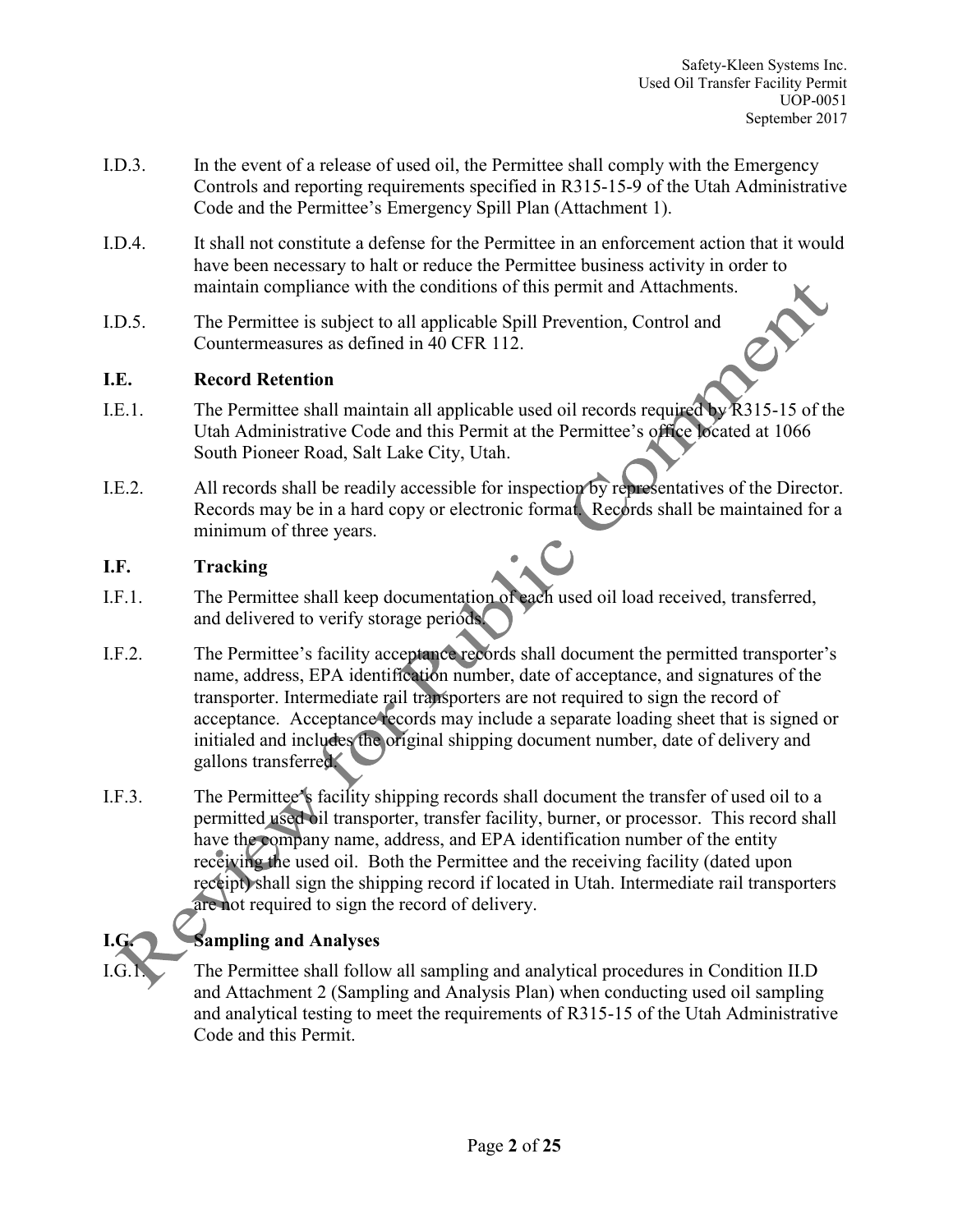- I.D.3. In the event of a release of used oil, the Permittee shall comply with the Emergency Controls and reporting requirements specified in R315-15-9 of the Utah Administrative Code and the Permittee's Emergency Spill Plan (Attachment 1).
- I.D.4. It shall not constitute a defense for the Permittee in an enforcement action that it would have been necessary to halt or reduce the Permittee business activity in order to maintain compliance with the conditions of this permit and Attachments.
- I.D.5. The Permittee is subject to all applicable Spill Prevention, Control and Countermeasures as defined in 40 CFR 112.

## **I.E. Record Retention**

- I.E.1. The Permittee shall maintain all applicable used oil records required by R315-15 of the Utah Administrative Code and this Permit at the Permittee's office located at 1066 South Pioneer Road, Salt Lake City, Utah.
- I.E.2. All records shall be readily accessible for inspection by representatives of the Director. Records may be in a hard copy or electronic format. Records shall be maintained for a minimum of three years.

## **I.F. Tracking**

- I.F.1. The Permittee shall keep documentation of each used oil load received, transferred, and delivered to verify storage periods.
- I.F.2. The Permittee's facility acceptance records shall document the permitted transporter's name, address, EPA identification number, date of acceptance, and signatures of the transporter. Intermediate rail transporters are not required to sign the record of acceptance. Acceptance records may include a separate loading sheet that is signed or initialed and includes the original shipping document number, date of delivery and gallons transferred.
- I.F.3. The Permittee's facility shipping records shall document the transfer of used oil to a permitted used oil transporter, transfer facility, burner, or processor. This record shall have the company name, address, and EPA identification number of the entity receiving the used oil. Both the Permittee and the receiving facility (dated upon receipt) shall sign the shipping record if located in Utah. Intermediate rail transporters are not required to sign the record of delivery.

# **I.G. Sampling and Analyses**

The Permittee shall follow all sampling and analytical procedures in Condition II.D and Attachment 2 (Sampling and Analysis Plan) when conducting used oil sampling and analytical testing to meet the requirements of R315-15 of the Utah Administrative Code and this Permit.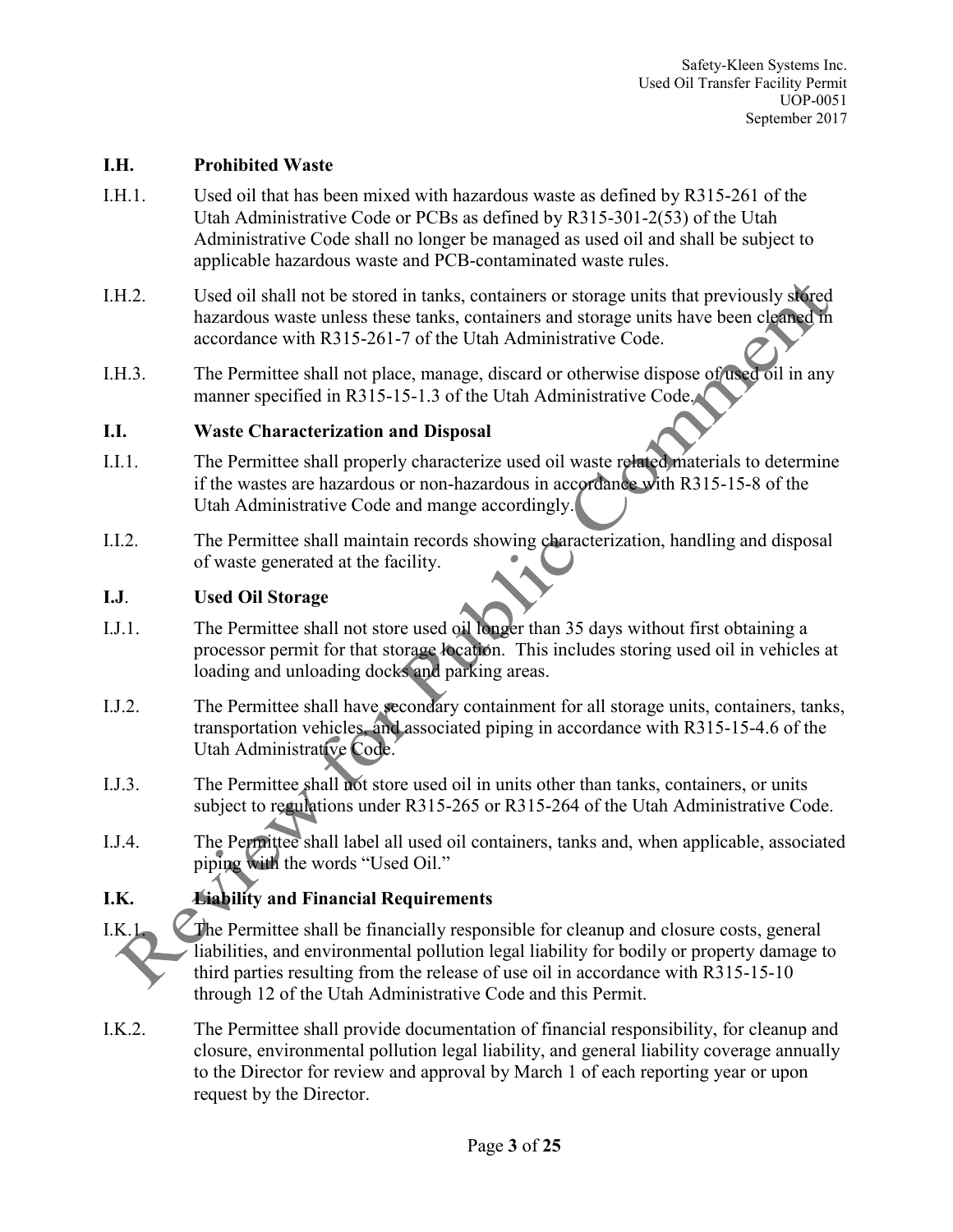#### **I.H. Prohibited Waste**

- I.H.1. Used oil that has been mixed with hazardous waste as defined by R315-261 of the Utah Administrative Code or PCBs as defined by R315-301-2(53) of the Utah Administrative Code shall no longer be managed as used oil and shall be subject to applicable hazardous waste and PCB-contaminated waste rules.
- I.H.2. Used oil shall not be stored in tanks, containers or storage units that previously stored hazardous waste unless these tanks, containers and storage units have been cleaned in accordance with R315-261-7 of the Utah Administrative Code.
- I.H.3. The Permittee shall not place, manage, discard or otherwise dispose of used oil in any manner specified in R315-15-1.3 of the Utah Administrative Code.

#### **I.I. Waste Characterization and Disposal**

- I.I.1. The Permittee shall properly characterize used oil waste related materials to determine if the wastes are hazardous or non-hazardous in accordance with R315-15-8 of the Utah Administrative Code and mange accordingly.
- I.I.2. The Permittee shall maintain records showing characterization, handling and disposal of waste generated at the facility.

#### **I.J**. **Used Oil Storage**

- I.J.1. The Permittee shall not store used oil longer than 35 days without first obtaining a processor permit for that storage location. This includes storing used oil in vehicles at loading and unloading docks and parking areas.
- I.J.2. The Permittee shall have secondary containment for all storage units, containers, tanks, transportation vehicles, and associated piping in accordance with R315-15-4.6 of the Utah Administrative Code.
- I.J.3. The Permittee shall not store used oil in units other than tanks, containers, or units subject to regulations under R315-265 or R315-264 of the Utah Administrative Code.
- I.J.4. The Permittee shall label all used oil containers, tanks and, when applicable, associated piping with the words "Used Oil."

## **I.K. Liability and Financial Requirements**

I.K.1. The Permittee shall be financially responsible for cleanup and closure costs, general liabilities, and environmental pollution legal liability for bodily or property damage to third parties resulting from the release of use oil in accordance with R315-15-10 through 12 of the Utah Administrative Code and this Permit.

I.K.2. The Permittee shall provide documentation of financial responsibility, for cleanup and closure, environmental pollution legal liability, and general liability coverage annually to the Director for review and approval by March 1 of each reporting year or upon request by the Director.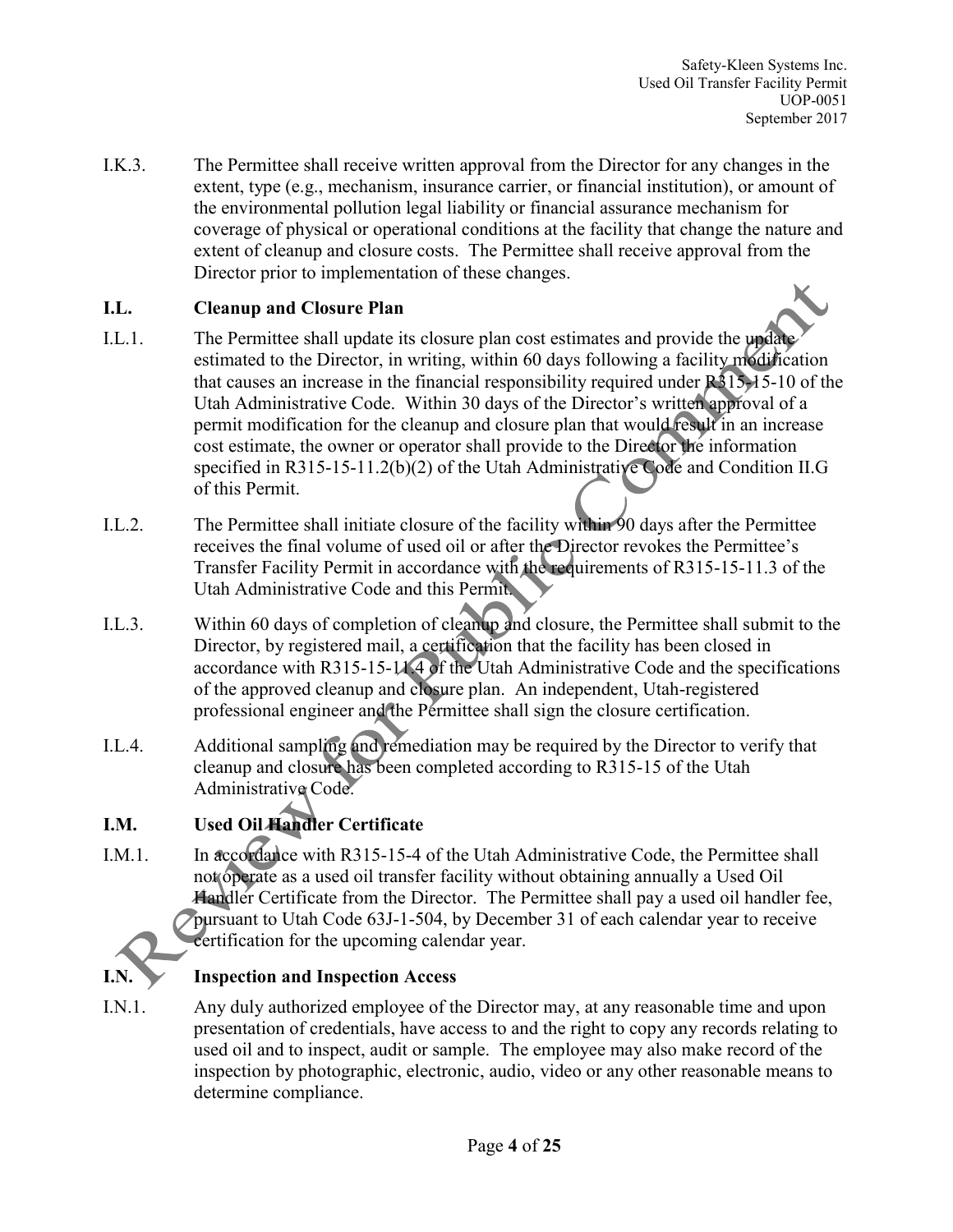I.K.3. The Permittee shall receive written approval from the Director for any changes in the extent, type (e.g., mechanism, insurance carrier, or financial institution), or amount of the environmental pollution legal liability or financial assurance mechanism for coverage of physical or operational conditions at the facility that change the nature and extent of cleanup and closure costs. The Permittee shall receive approval from the Director prior to implementation of these changes.

## **I.L. Cleanup and Closure Plan**

- I.L.1. The Permittee shall update its closure plan cost estimates and provide the update estimated to the Director, in writing, within 60 days following a facility modification that causes an increase in the financial responsibility required under R315-15-10 of the Utah Administrative Code. Within 30 days of the Director's written approval of a permit modification for the cleanup and closure plan that would result in an increase cost estimate, the owner or operator shall provide to the Director the information specified in R315-15-11.2(b)(2) of the Utah Administrative Code and Condition II.G of this Permit.
- I.L.2. The Permittee shall initiate closure of the facility within 90 days after the Permittee receives the final volume of used oil or after the Director revokes the Permittee's Transfer Facility Permit in accordance with the requirements of R315-15-11.3 of the Utah Administrative Code and this Permit.
- I.L.3. Within 60 days of completion of cleanup and closure, the Permittee shall submit to the Director, by registered mail, a certification that the facility has been closed in accordance with R315-15-11.4 of the Utah Administrative Code and the specifications of the approved cleanup and closure plan. An independent, Utah-registered professional engineer and the Permittee shall sign the closure certification.
- I.L.4. Additional sampling and remediation may be required by the Director to verify that cleanup and closure has been completed according to R315-15 of the Utah Administrative Code.

# **I.M. Used Oil Handler Certificate**

I.M.1. In accordance with R315-15-4 of the Utah Administrative Code, the Permittee shall not operate as a used oil transfer facility without obtaining annually a Used Oil Handler Certificate from the Director. The Permittee shall pay a used oil handler fee, pursuant to Utah Code 63J-1-504, by December 31 of each calendar year to receive certification for the upcoming calendar year.

## **I.N. Inspection and Inspection Access**

I.N.1. Any duly authorized employee of the Director may, at any reasonable time and upon presentation of credentials, have access to and the right to copy any records relating to used oil and to inspect, audit or sample. The employee may also make record of the inspection by photographic, electronic, audio, video or any other reasonable means to determine compliance.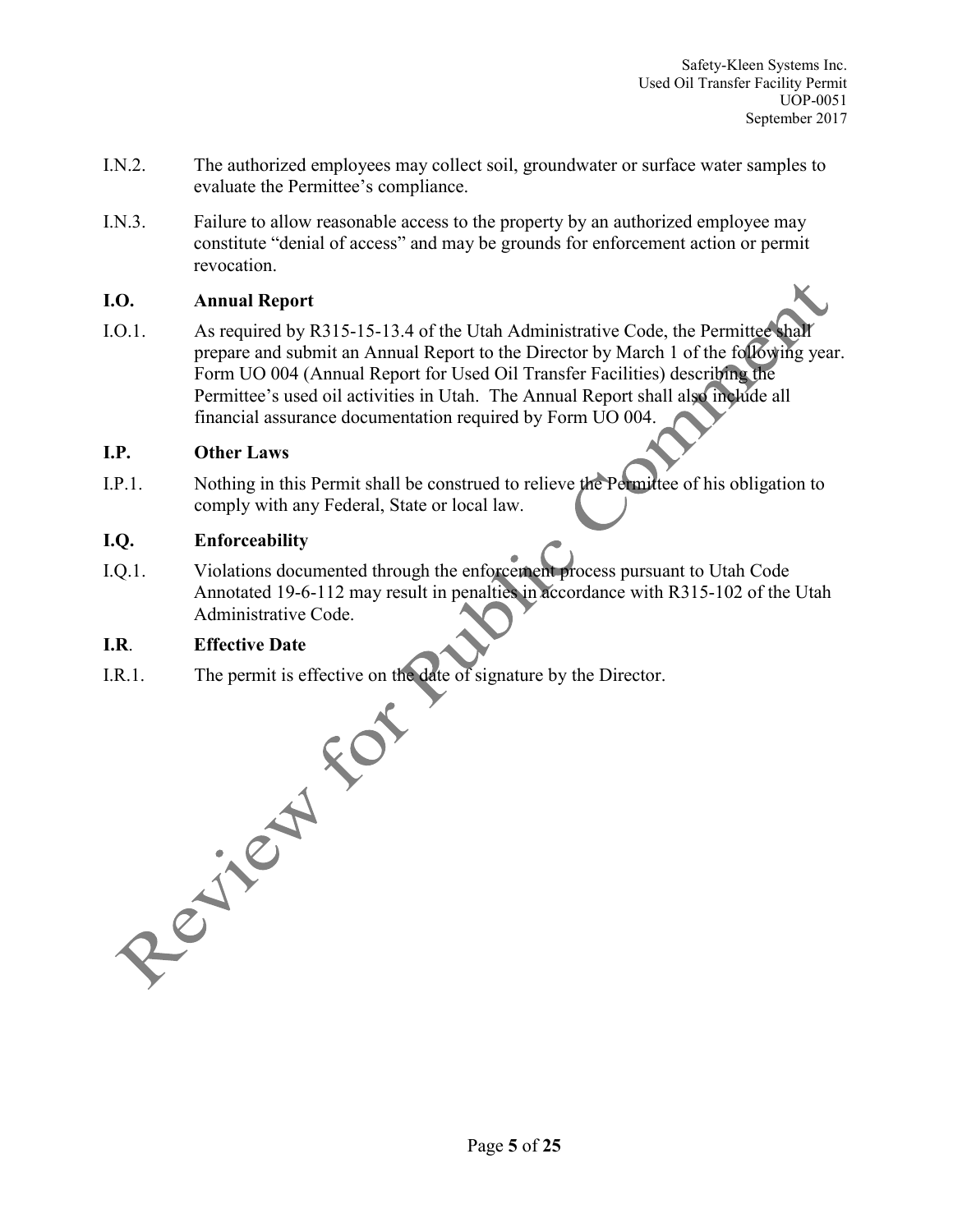- I.N.2. The authorized employees may collect soil, groundwater or surface water samples to evaluate the Permittee's compliance.
- I.N.3. Failure to allow reasonable access to the property by an authorized employee may constitute "denial of access" and may be grounds for enforcement action or permit revocation.

#### **I.O. Annual Report**

I.O.1. As required by R315-15-13.4 of the Utah Administrative Code, the Permittee shall prepare and submit an Annual Report to the Director by March 1 of the following year. Form UO 004 (Annual Report for Used Oil Transfer Facilities) describing the Permittee's used oil activities in Utah. The Annual Report shall also include all financial assurance documentation required by Form UO 004.

#### **I.P. Other Laws**

I.P.1. Nothing in this Permit shall be construed to relieve the Permittee of his obligation to comply with any Federal, State or local law.

#### **I.Q. Enforceability**

I.Q.1. Violations documented through the enforcement process pursuant to Utah Code Annotated 19-6-112 may result in penalties in accordance with R315-102 of the Utah Administrative Code.

I.R.1. The permit is effective on the date of signature by the Director.

I.R.1. Effective Date<br>
I.R.1. The permit is effective on a<br>
series of the series of the series of the series of the series of the series of the series of the series of the series of the series of the series of the series o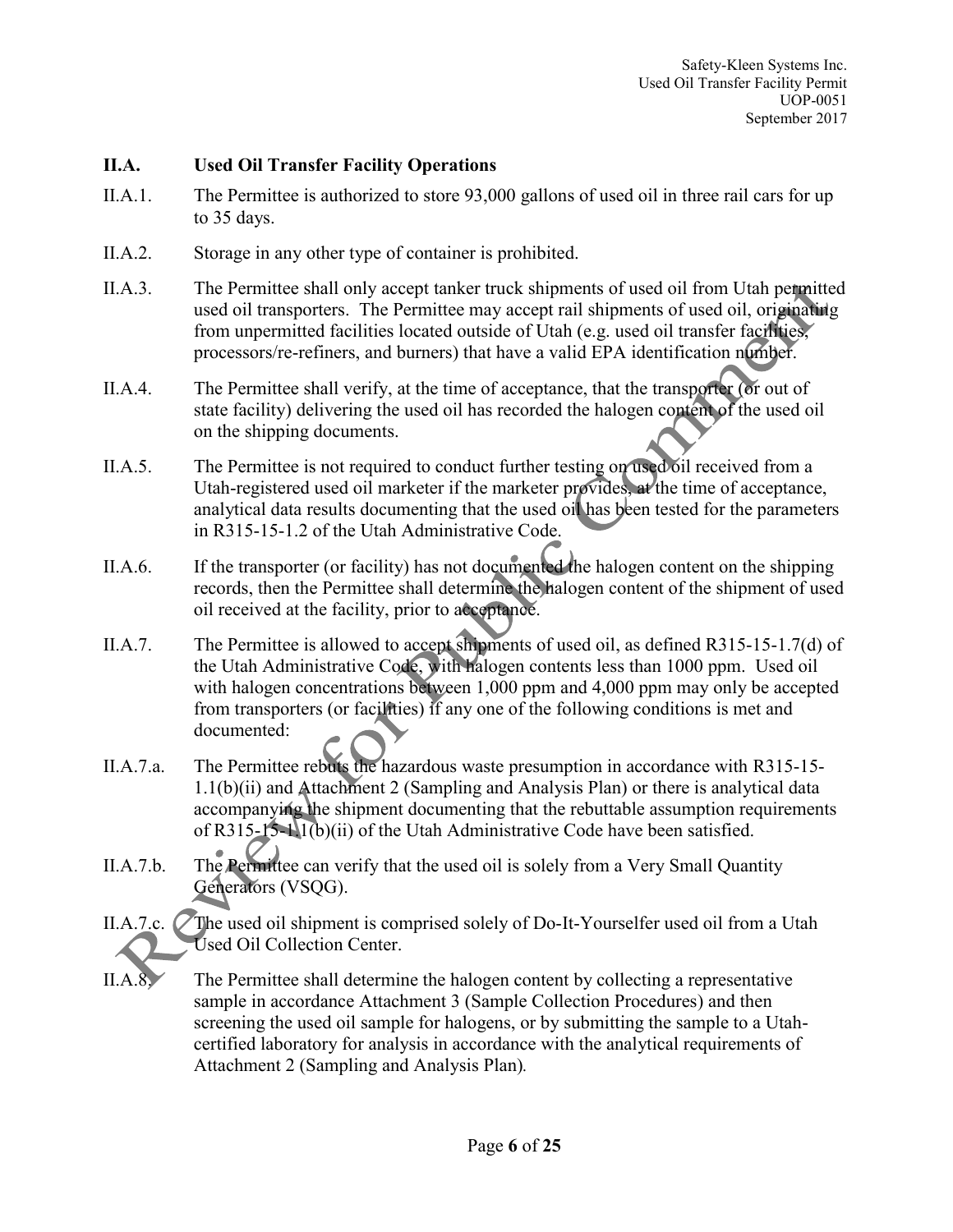#### **II.A. Used Oil Transfer Facility Operations**

- II.A.1. The Permittee is authorized to store 93,000 gallons of used oil in three rail cars for up to 35 days.
- II.A.2. Storage in any other type of container is prohibited.
- II.A.3. The Permittee shall only accept tanker truck shipments of used oil from Utah permitted used oil transporters. The Permittee may accept rail shipments of used oil, originating from unpermitted facilities located outside of Utah (e.g. used oil transfer facilities, processors/re-refiners, and burners) that have a valid EPA identification number.
- II.A.4. The Permittee shall verify, at the time of acceptance, that the transporter (or out of state facility) delivering the used oil has recorded the halogen content of the used oil on the shipping documents.
- II.A.5. The Permittee is not required to conduct further testing on used oil received from a Utah-registered used oil marketer if the marketer provides, at the time of acceptance, analytical data results documenting that the used oil has been tested for the parameters in R315-15-1.2 of the Utah Administrative Code.
- II.A.6. If the transporter (or facility) has not documented the halogen content on the shipping records, then the Permittee shall determine the halogen content of the shipment of used oil received at the facility, prior to acceptance.
- II.A.7. The Permittee is allowed to accept shipments of used oil, as defined R315-15-1.7(d) of the Utah Administrative Code, with halogen contents less than 1000 ppm. Used oil with halogen concentrations between 1,000 ppm and 4,000 ppm may only be accepted from transporters (or facilities) if any one of the following conditions is met and documented:
- II.A.7.a. The Permittee rebuts the hazardous waste presumption in accordance with R315-15- 1.1(b)(ii) and Attachment 2 (Sampling and Analysis Plan) or there is analytical data accompanying the shipment documenting that the rebuttable assumption requirements of R315-15-1.1(b)(ii) of the Utah Administrative Code have been satisfied.
- II.A.7.b. The Permittee can verify that the used oil is solely from a Very Small Quantity Generators (VSQG).
- II.A.7.c. The used oil shipment is comprised solely of Do-It-Yourselfer used oil from a Utah Used Oil Collection Center.
- II.A.8. The Permittee shall determine the halogen content by collecting a representative sample in accordance Attachment 3 (Sample Collection Procedures) and then screening the used oil sample for halogens, or by submitting the sample to a Utahcertified laboratory for analysis in accordance with the analytical requirements of Attachment 2 (Sampling and Analysis Plan)*.*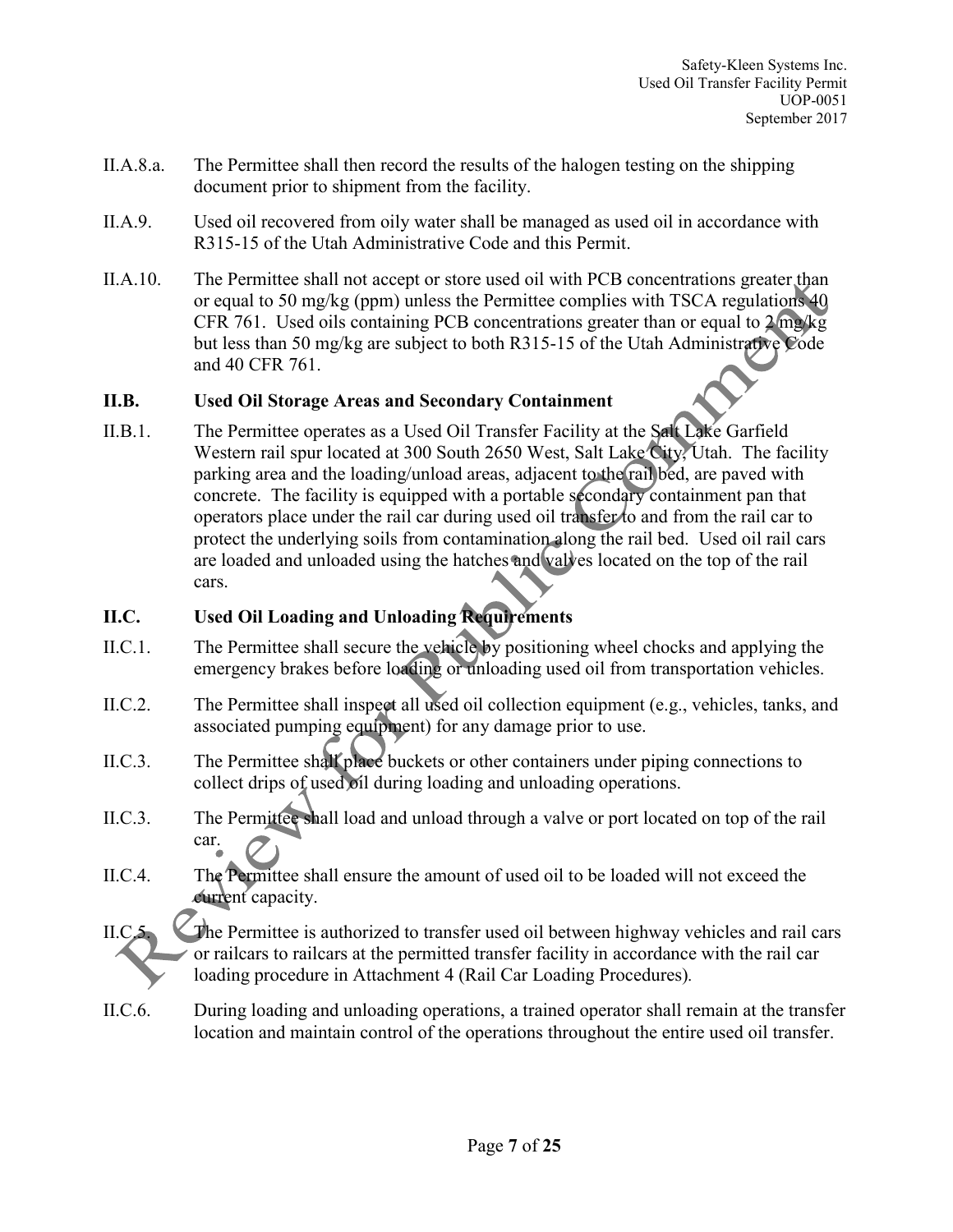- II.A.8.a. The Permittee shall then record the results of the halogen testing on the shipping document prior to shipment from the facility.
- II.A.9. Used oil recovered from oily water shall be managed as used oil in accordance with R315-15 of the Utah Administrative Code and this Permit.
- II.A.10. The Permittee shall not accept or store used oil with PCB concentrations greater than or equal to 50 mg/kg (ppm) unless the Permittee complies with TSCA regulations 40 CFR 761. Used oils containing PCB concentrations greater than or equal to 2 mg/kg but less than 50 mg/kg are subject to both R315-15 of the Utah Administrative Code and 40 CFR 761.

## **II.B. Used Oil Storage Areas and Secondary Containment**

II.B.1. The Permittee operates as a Used Oil Transfer Facility at the Salt Lake Garfield Western rail spur located at 300 South 2650 West, Salt Lake City, Utah. The facility parking area and the loading/unload areas, adjacent to the rail bed, are paved with concrete. The facility is equipped with a portable secondary containment pan that operators place under the rail car during used oil transfer to and from the rail car to protect the underlying soils from contamination along the rail bed. Used oil rail cars are loaded and unloaded using the hatches and valves located on the top of the rail cars.

## **II.C. Used Oil Loading and Unloading Requirements**

- II.C.1. The Permittee shall secure the vehicle by positioning wheel chocks and applying the emergency brakes before loading or unloading used oil from transportation vehicles.
- II.C.2. The Permittee shall inspect all used oil collection equipment (e.g., vehicles, tanks, and associated pumping equipment) for any damage prior to use.
- II.C.3. The Permittee shall place buckets or other containers under piping connections to collect drips of used oil during loading and unloading operations.
- II.C.3. The Permittee shall load and unload through a valve or port located on top of the rail car.
- II.C.4. The Permittee shall ensure the amount of used oil to be loaded will not exceed the current capacity.

II.C.5. The Permittee is authorized to transfer used oil between highway vehicles and rail cars or railcars to railcars at the permitted transfer facility in accordance with the rail car loading procedure in Attachment 4 (Rail Car Loading Procedures)*.*

II.C.6. During loading and unloading operations, a trained operator shall remain at the transfer location and maintain control of the operations throughout the entire used oil transfer.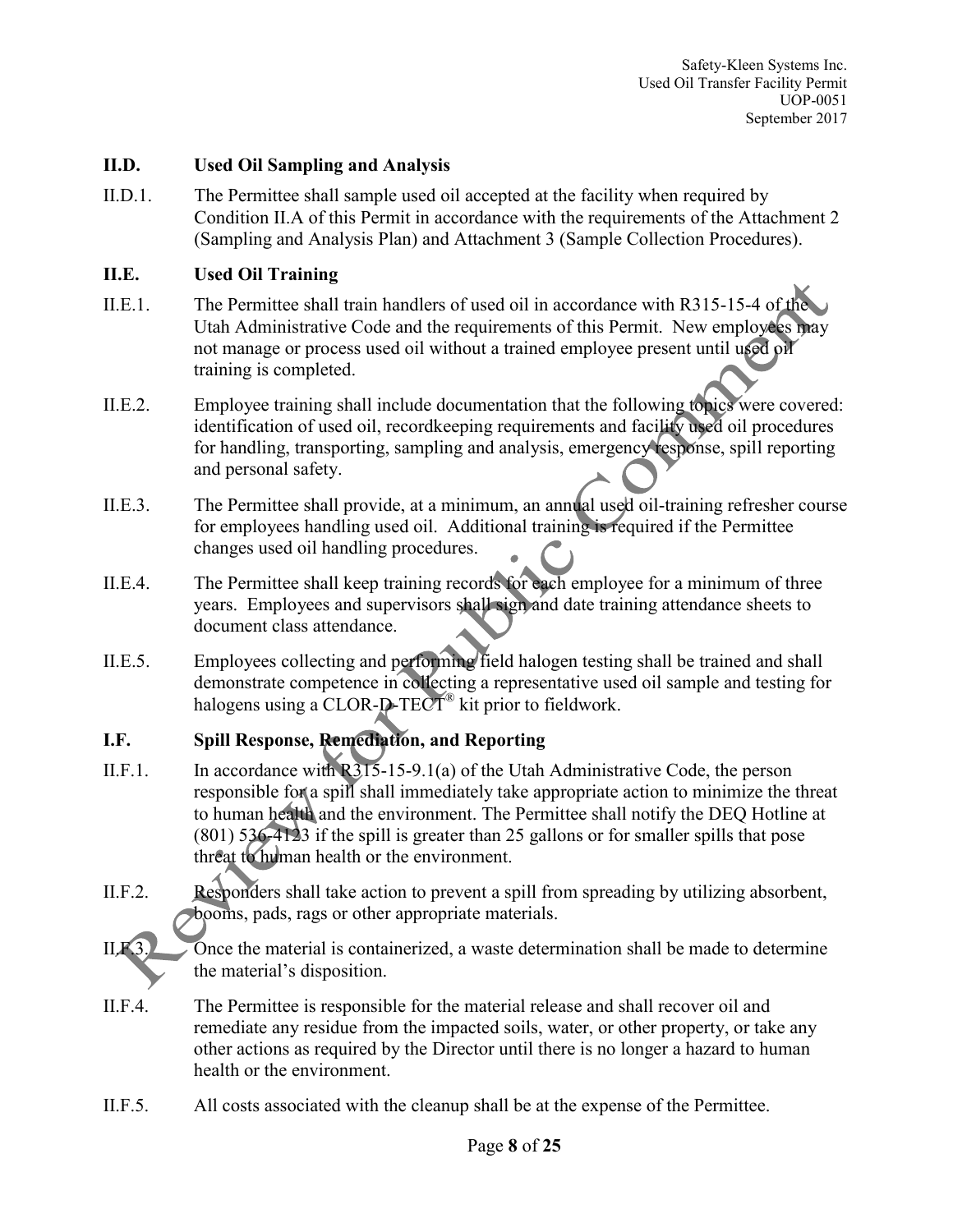#### **II.D. Used Oil Sampling and Analysis**

II.D.1. The Permittee shall sample used oil accepted at the facility when required by Condition II.A of this Permit in accordance with the requirements of the Attachment 2 (Sampling and Analysis Plan) and Attachment 3 (Sample Collection Procedures).

#### **II.E. Used Oil Training**

- II.E.1. The Permittee shall train handlers of used oil in accordance with R315-15-4 of the Utah Administrative Code and the requirements of this Permit. New employees may not manage or process used oil without a trained employee present until used oil training is completed.
- II.E.2. Employee training shall include documentation that the following topics were covered: identification of used oil, recordkeeping requirements and facility used oil procedures for handling, transporting, sampling and analysis, emergency response, spill reporting and personal safety.
- II.E.3. The Permittee shall provide, at a minimum, an annual used oil-training refresher course for employees handling used oil. Additional training is required if the Permittee changes used oil handling procedures.
- II.E.4. The Permittee shall keep training records for each employee for a minimum of three years. Employees and supervisors shall sign and date training attendance sheets to document class attendance.
- II.E.5. Employees collecting and performing field halogen testing shall be trained and shall demonstrate competence in collecting a representative used oil sample and testing for halogens using a CLOR-D-TECT<sup>®</sup> kit prior to fieldwork.

## **I.F. Spill Response, Remediation, and Reporting**

- II.F.1. In accordance with  $R315-15-9.1(a)$  of the Utah Administrative Code, the person responsible for a spill shall immediately take appropriate action to minimize the threat to human health and the environment. The Permittee shall notify the DEQ Hotline at (801) 536-4123 if the spill is greater than 25 gallons or for smaller spills that pose threat to human health or the environment.
- II.F.2. Responders shall take action to prevent a spill from spreading by utilizing absorbent, booms, pads, rags or other appropriate materials.
- II.F.3. Once the material is containerized, a waste determination shall be made to determine the material's disposition.
- II.F.4. The Permittee is responsible for the material release and shall recover oil and remediate any residue from the impacted soils, water, or other property, or take any other actions as required by the Director until there is no longer a hazard to human health or the environment.
- II.F.5. All costs associated with the cleanup shall be at the expense of the Permittee.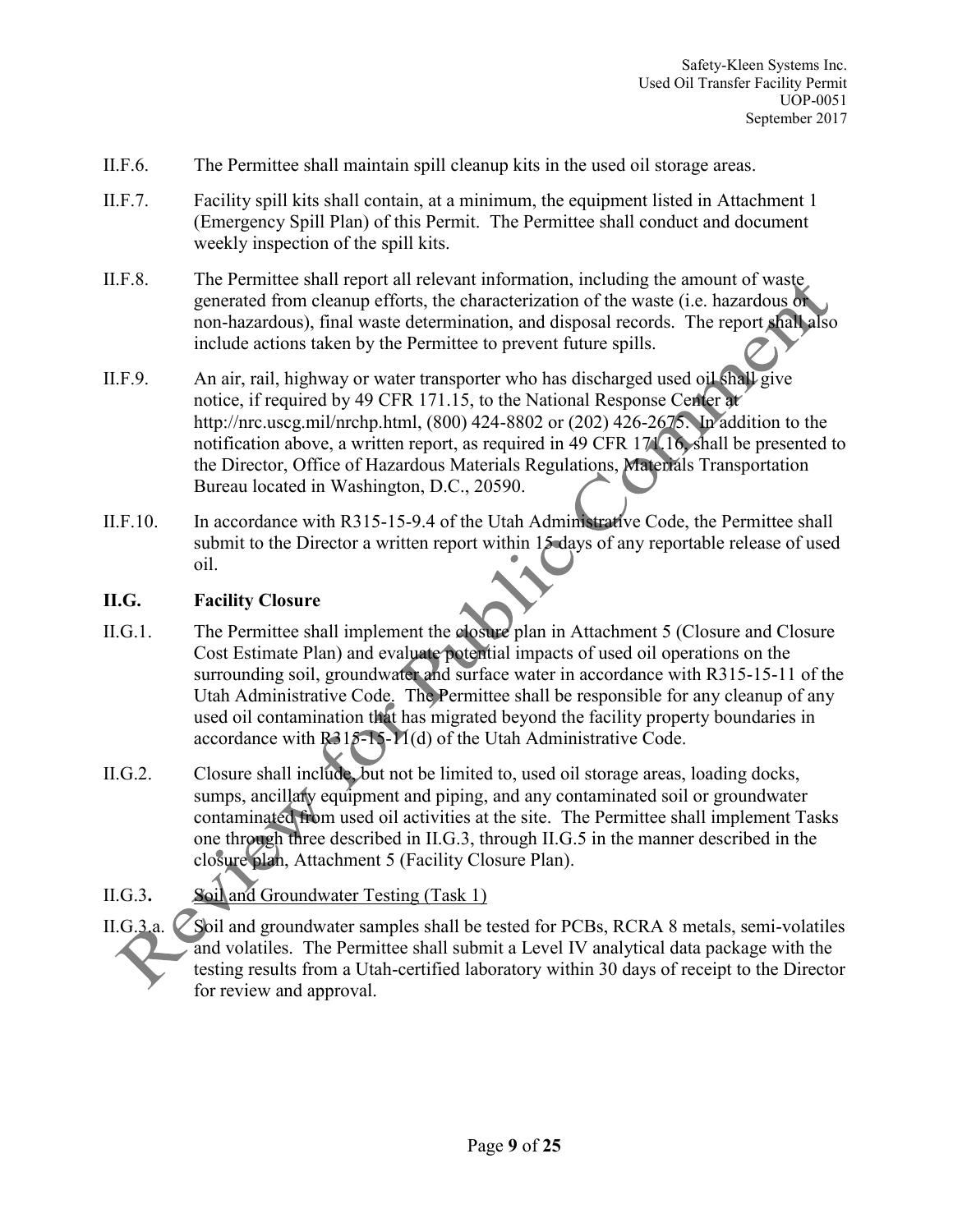- II.F.6. The Permittee shall maintain spill cleanup kits in the used oil storage areas.
- II.F.7. Facility spill kits shall contain, at a minimum, the equipment listed in Attachment 1 (Emergency Spill Plan) of this Permit. The Permittee shall conduct and document weekly inspection of the spill kits.
- II.F.8. The Permittee shall report all relevant information, including the amount of waste generated from cleanup efforts, the characterization of the waste (i.e. hazardous or non-hazardous), final waste determination, and disposal records. The report shall also include actions taken by the Permittee to prevent future spills.
- II.F.9. An air, rail, highway or water transporter who has discharged used oil shall give notice, if required by 49 CFR 171.15, to the National Response Center at http://nrc.uscg.mil/nrchp.html, (800) 424-8802 or (202) 426-2675. In addition to the notification above, a written report, as required in 49 CFR 171.16, shall be presented to the Director, Office of Hazardous Materials Regulations, Materials Transportation Bureau located in Washington, D.C., 20590.
- II.F.10. In accordance with R315-15-9.4 of the Utah Administrative Code, the Permittee shall submit to the Director a written report within 15 days of any reportable release of used oil.

## **II.G. Facility Closure**

- II.G.1. The Permittee shall implement the closure plan in Attachment 5 (Closure and Closure Cost Estimate Plan) and evaluate potential impacts of used oil operations on the surrounding soil, groundwater and surface water in accordance with R315-15-11 of the Utah Administrative Code. The Permittee shall be responsible for any cleanup of any used oil contamination that has migrated beyond the facility property boundaries in accordance with R315-15-11(d) of the Utah Administrative Code.
- II.G.2. Closure shall include, but not be limited to, used oil storage areas, loading docks, sumps, ancillarly equipment and piping, and any contaminated soil or groundwater contaminated from used oil activities at the site. The Permittee shall implement Tasks one through three described in II.G.3, through II.G.5 in the manner described in the closure plan, Attachment 5 (Facility Closure Plan).

# II.G.3**.** Soil and Groundwater Testing (Task 1)

II.G.3.a.  $\triangleright$  Soil and groundwater samples shall be tested for PCBs, RCRA 8 metals, semi-volatiles and volatiles. The Permittee shall submit a Level IV analytical data package with the testing results from a Utah-certified laboratory within 30 days of receipt to the Director for review and approval.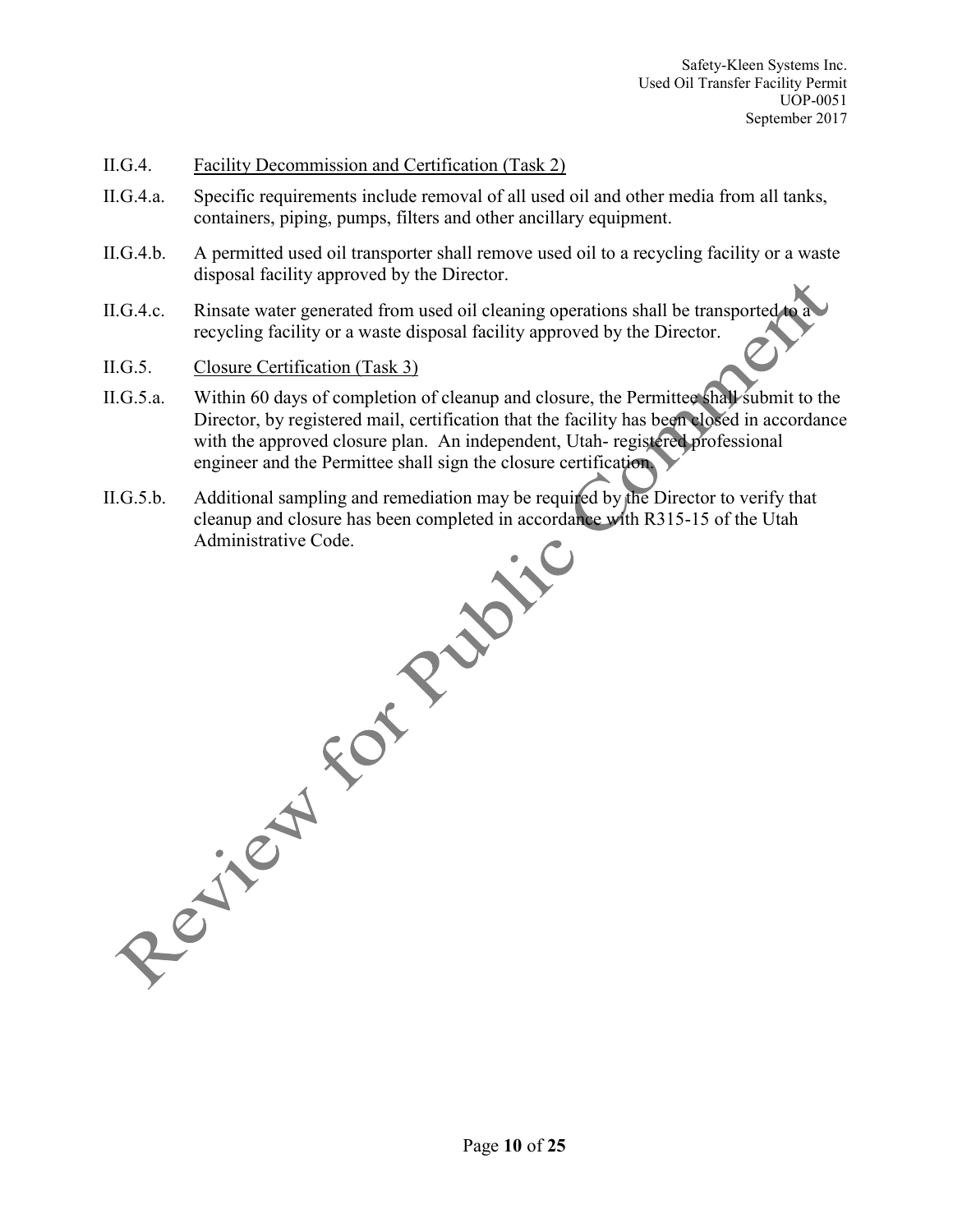#### II.G.4. Facility Decommission and Certification (Task 2)

- II.G.4.a. Specific requirements include removal of all used oil and other media from all tanks, containers, piping, pumps, filters and other ancillary equipment.
- II.G.4.b. A permitted used oil transporter shall remove used oil to a recycling facility or a waste disposal facility approved by the Director.
- II.G.4.c. Rinsate water generated from used oil cleaning operations shall be transported recycling facility or a waste disposal facility approved by the Director.
- II.G.5. Closure Certification (Task 3)
- II.G.5.a. Within 60 days of completion of cleanup and closure, the Permittee shall submit to the Director, by registered mail, certification that the facility has been closed in accordance with the approved closure plan. An independent, Utah- registered professional engineer and the Permittee shall sign the closure certification.
- II.G.5.b. Additional sampling and remediation may be required by the Director to verify that cleanup and closure has been completed in accordance with R315-15 of the Utah Resited For Public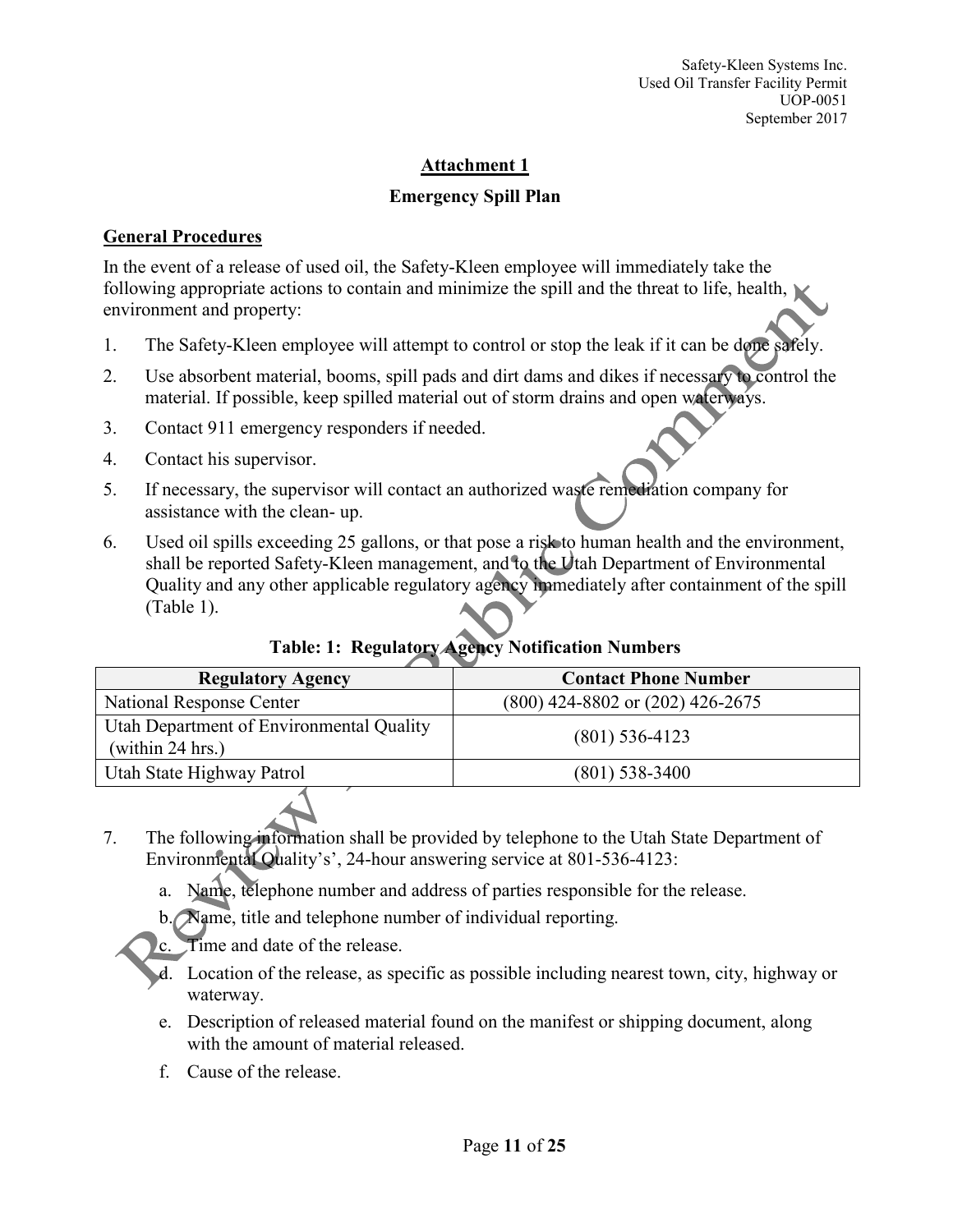## **Emergency Spill Plan**

## **General Procedures**

In the event of a release of used oil, the Safety-Kleen employee will immediately take the following appropriate actions to contain and minimize the spill and the threat to life, health, environment and property:

- 1. The Safety-Kleen employee will attempt to control or stop the leak if it can be done safely.
- 2. Use absorbent material, booms, spill pads and dirt dams and dikes if necessary to control the material. If possible, keep spilled material out of storm drains and open waterways.
- 3. Contact 911 emergency responders if needed.
- 4. Contact his supervisor.
- 5. If necessary, the supervisor will contact an authorized waste remediation company for assistance with the clean- up.
- 6. Used oil spills exceeding 25 gallons, or that pose a risk to human health and the environment, shall be reported Safety-Kleen management, and to the Utah Department of Environmental Quality and any other applicable regulatory agency immediately after containment of the spill (Table 1).

| <b>Regulatory Agency</b>                                     | <b>Contact Phone Number</b>          |
|--------------------------------------------------------------|--------------------------------------|
| <b>National Response Center</b>                              | $(800)$ 424-8802 or $(202)$ 426-2675 |
| Utah Department of Environmental Quality<br>(within 24 hrs.) | $(801)$ 536-4123                     |
| Utah State Highway Patrol                                    | $(801)$ 538-3400                     |

# **Table: 1: Regulatory Agency Notification Numbers**

- 7. The following information shall be provided by telephone to the Utah State Department of Environmental Quality's', 24-hour answering service at 801-536-4123:
	- a. Name, telephone number and address of parties responsible for the release.
	- b. Name, title and telephone number of individual reporting.

c. Time and date of the release.

- d. Location of the release, as specific as possible including nearest town, city, highway or waterway.
- e. Description of released material found on the manifest or shipping document, along with the amount of material released.
- f. Cause of the release.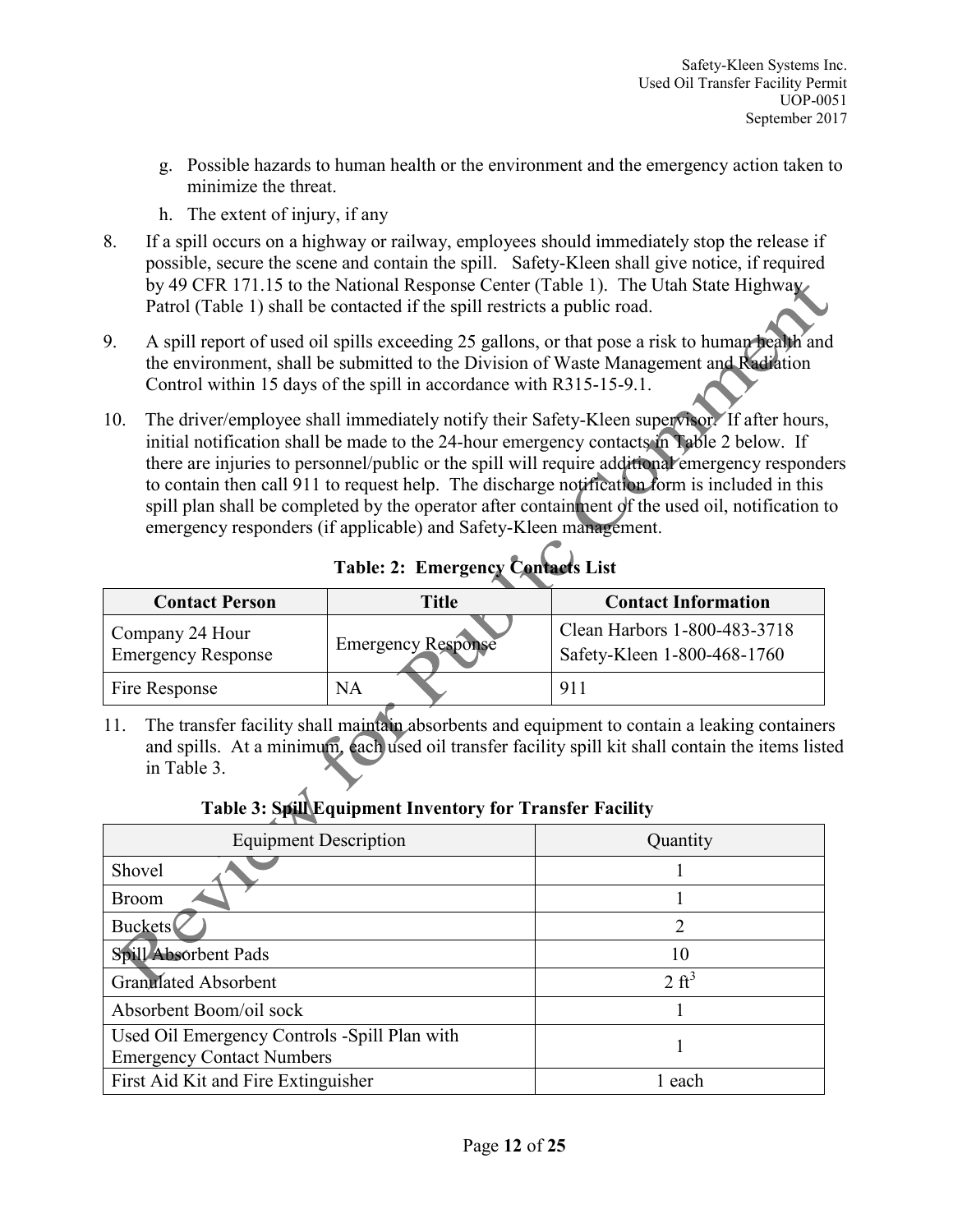- g. Possible hazards to human health or the environment and the emergency action taken to minimize the threat.
- h. The extent of injury, if any
- 8. If a spill occurs on a highway or railway, employees should immediately stop the release if possible, secure the scene and contain the spill. Safety-Kleen shall give notice, if required by 49 CFR 171.15 to the National Response Center (Table 1). The Utah State Highway Patrol (Table 1) shall be contacted if the spill restricts a public road.
- 9. A spill report of used oil spills exceeding 25 gallons, or that pose a risk to human health and the environment, shall be submitted to the Division of Waste Management and Radiation Control within 15 days of the spill in accordance with R315-15-9.1.
- 10. The driver/employee shall immediately notify their Safety-Kleen supervisor. If after hours, initial notification shall be made to the 24-hour emergency contacts in Table 2 below. If there are injuries to personnel/public or the spill will require additional emergency responders to contain then call 911 to request help. The discharge notification form is included in this spill plan shall be completed by the operator after containment of the used oil, notification to emergency responders (if applicable) and Safety-Kleen management.

| <b>Contact Person</b>                        | Title                     | <b>Contact Information</b>                                  |
|----------------------------------------------|---------------------------|-------------------------------------------------------------|
| Company 24 Hour<br><b>Emergency Response</b> | <b>Emergency Response</b> | Clean Harbors 1-800-483-3718<br>Safety-Kleen 1-800-468-1760 |
| Fire Response                                | <b>NA</b>                 | 911                                                         |

**Table: 2: Emergency Contacts List**

11. The transfer facility shall maintain absorbents and equipment to contain a leaking containers and spills. At a minimum, each used oil transfer facility spill kit shall contain the items listed in Table 3.

# **Table 3: Spill Equipment Inventory for Transfer Facility**

| <b>Equipment Description</b>                                                     | Quantity         |
|----------------------------------------------------------------------------------|------------------|
| Shovel                                                                           |                  |
| <b>Broom</b>                                                                     |                  |
| Buckets                                                                          |                  |
| Spill Absorbent Pads                                                             | 10               |
| <b>Granulated Absorbent</b>                                                      | $2 \text{ ft}^3$ |
| Absorbent Boom/oil sock                                                          |                  |
| Used Oil Emergency Controls -Spill Plan with<br><b>Emergency Contact Numbers</b> |                  |
| First Aid Kit and Fire Extinguisher                                              | each             |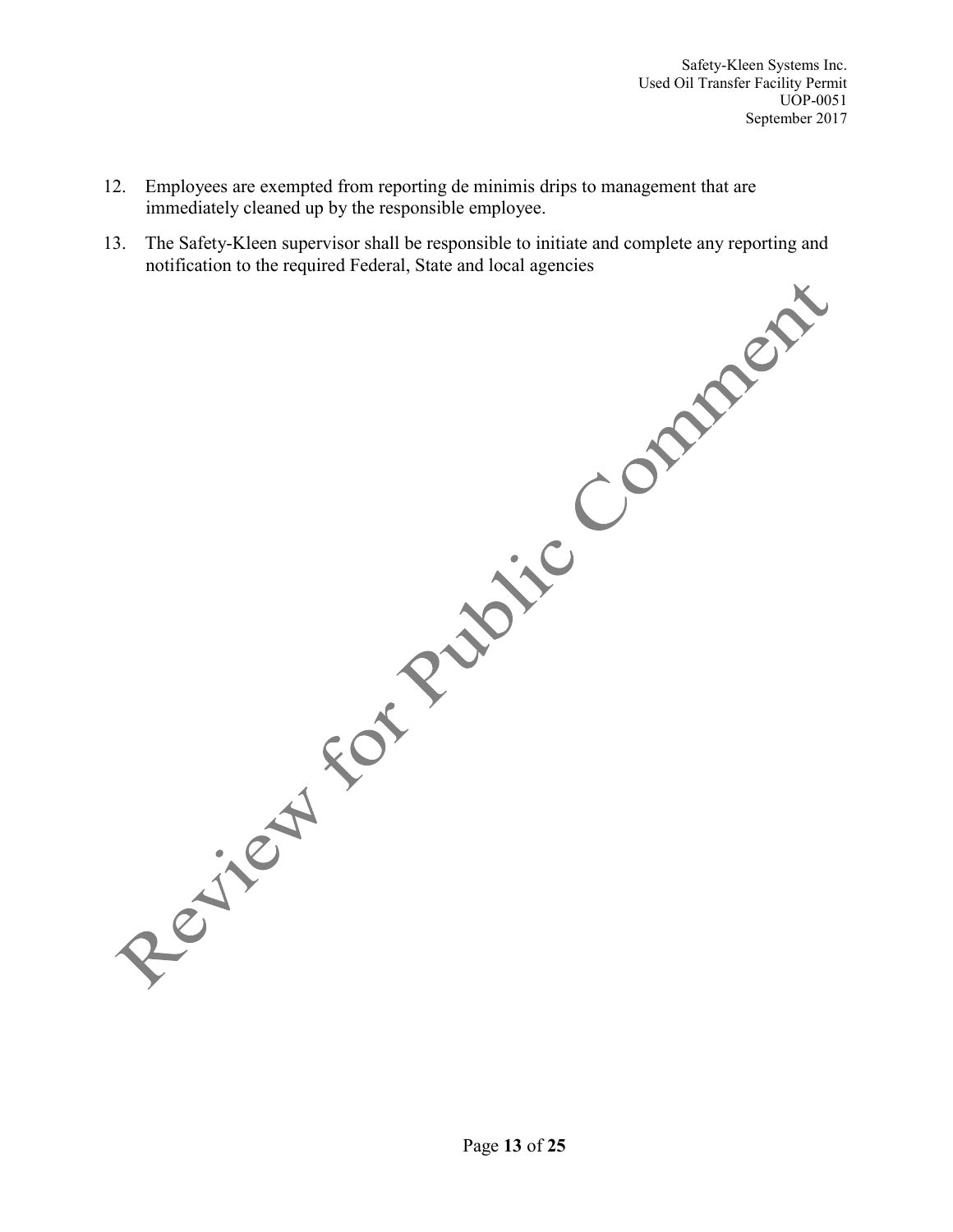- 12. Employees are exempted from reporting de minimis drips to management that are immediately cleaned up by the responsible employee.
- 13. The Safety-Kleen supervisor shall be responsible to initiate and complete any reporting and notification to the required Federal, State and local agencies

Page **13** of **25**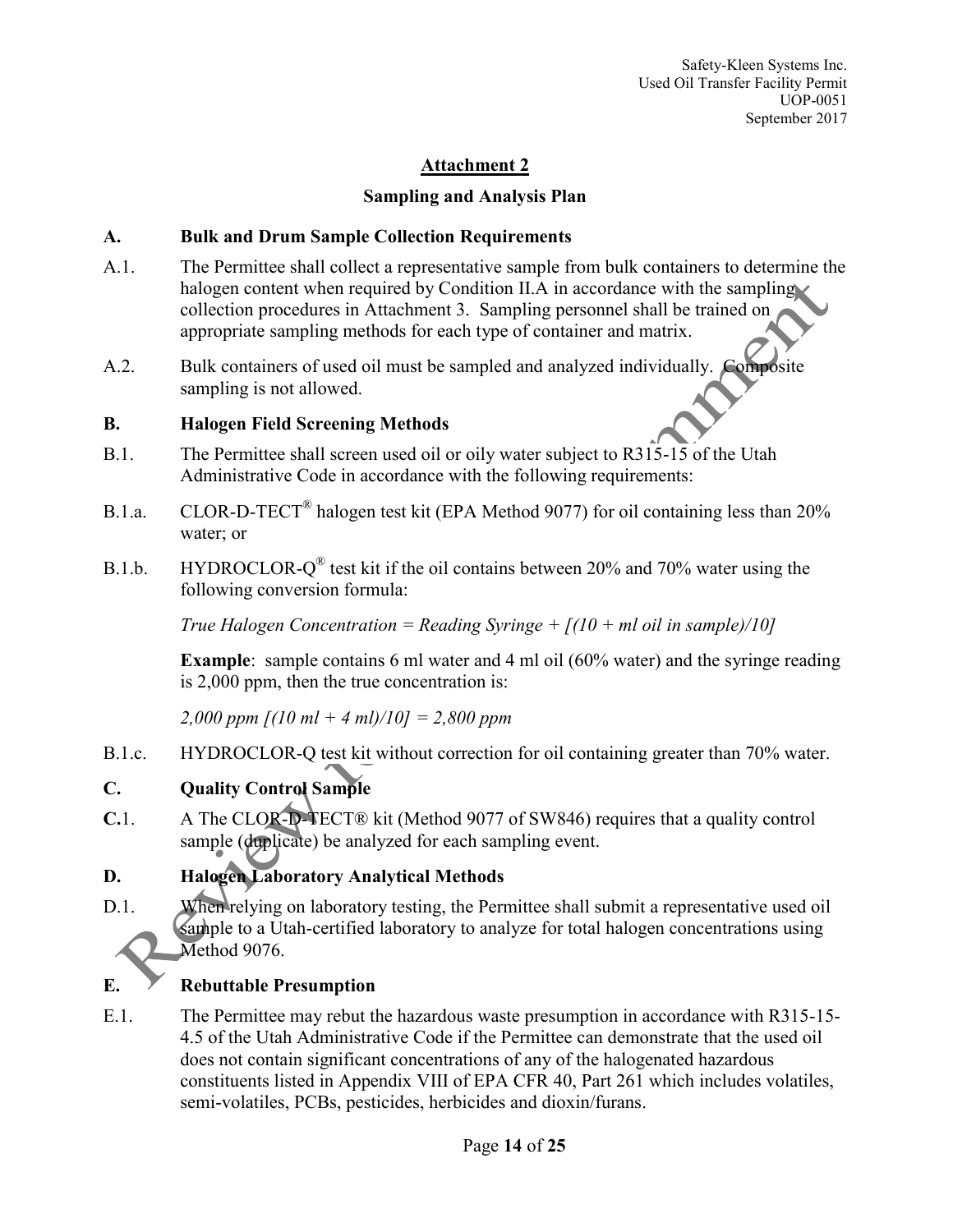## **Sampling and Analysis Plan**

## **A. Bulk and Drum Sample Collection Requirements**

- A.1. The Permittee shall collect a representative sample from bulk containers to determine the halogen content when required by Condition II.A in accordance with the sampling collection procedures in Attachment 3. Sampling personnel shall be trained on appropriate sampling methods for each type of container and matrix.
- A.2. Bulk containers of used oil must be sampled and analyzed individually. Composite sampling is not allowed.

## **B. Halogen Field Screening Methods**

- B.1. The Permittee shall screen used oil or oily water subject to R315-15 of the Utah Administrative Code in accordance with the following requirements:
- B.1.a. CLOR-D-TECT<sup>®</sup> halogen test kit (EPA Method 9077) for oil containing less than 20% water; or
- B.1.b. HYDROCLOR- $Q^{\circledR}$  test kit if the oil contains between 20% and 70% water using the following conversion formula:

*True Halogen Concentration = Reading Syringe +*  $(10 + ml)$  *oil in sample* $/10$ 

**Example**: sample contains 6 ml water and 4 ml oil (60% water) and the syringe reading is 2,000 ppm, then the true concentration is:

*2,000 ppm [(10 ml + 4 ml)/10] = 2,800 ppm*

B.1.c. HYDROCLOR-Q test kit without correction for oil containing greater than 70% water.

# **C. Quality Control Sample**

**C.**1. A The CLOR-D-TECT® kit (Method 9077 of SW846) requires that a quality control sample (duplicate) be analyzed for each sampling event.

# **D. Halogen Laboratory Analytical Methods**

D.1. When relying on laboratory testing, the Permittee shall submit a representative used oil sample to a Utah-certified laboratory to analyze for total halogen concentrations using Method 9076.

# **E. Rebuttable Presumption**

E.1. The Permittee may rebut the hazardous waste presumption in accordance with R315-15- 4.5 of the Utah Administrative Code if the Permittee can demonstrate that the used oil does not contain significant concentrations of any of the halogenated hazardous constituents listed in Appendix VIII of EPA CFR 40, Part 261 which includes volatiles, semi-volatiles, PCBs, pesticides, herbicides and dioxin/furans.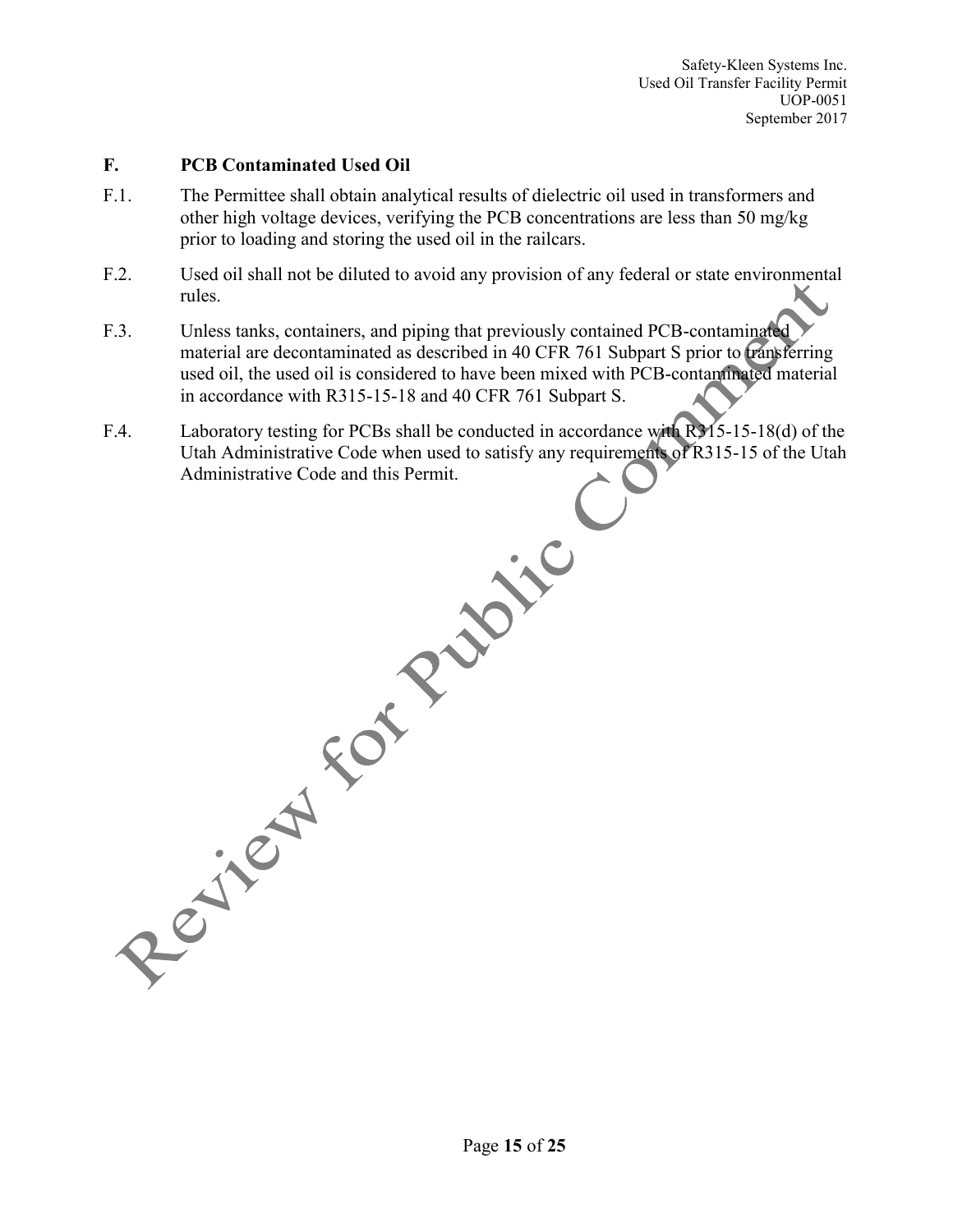#### **F. PCB Contaminated Used Oil**

- F.1. The Permittee shall obtain analytical results of dielectric oil used in transformers and other high voltage devices, verifying the PCB concentrations are less than 50 mg/kg prior to loading and storing the used oil in the railcars.
- F.2. Used oil shall not be diluted to avoid any provision of any federal or state environmental rules.
- F.3. Unless tanks, containers, and piping that previously contained PCB-contaminated material are decontaminated as described in 40 CFR 761 Subpart S prior to transferring used oil, the used oil is considered to have been mixed with PCB-contaminated material in accordance with R315-15-18 and 40 CFR 761 Subpart S.
- F.4. Laboratory testing for PCBs shall be conducted in accordance with R315-15-18(d) of the Utah Administrative Code when used to satisfy any requirements of R315-15 of the Utah Administrative Code and this Permit.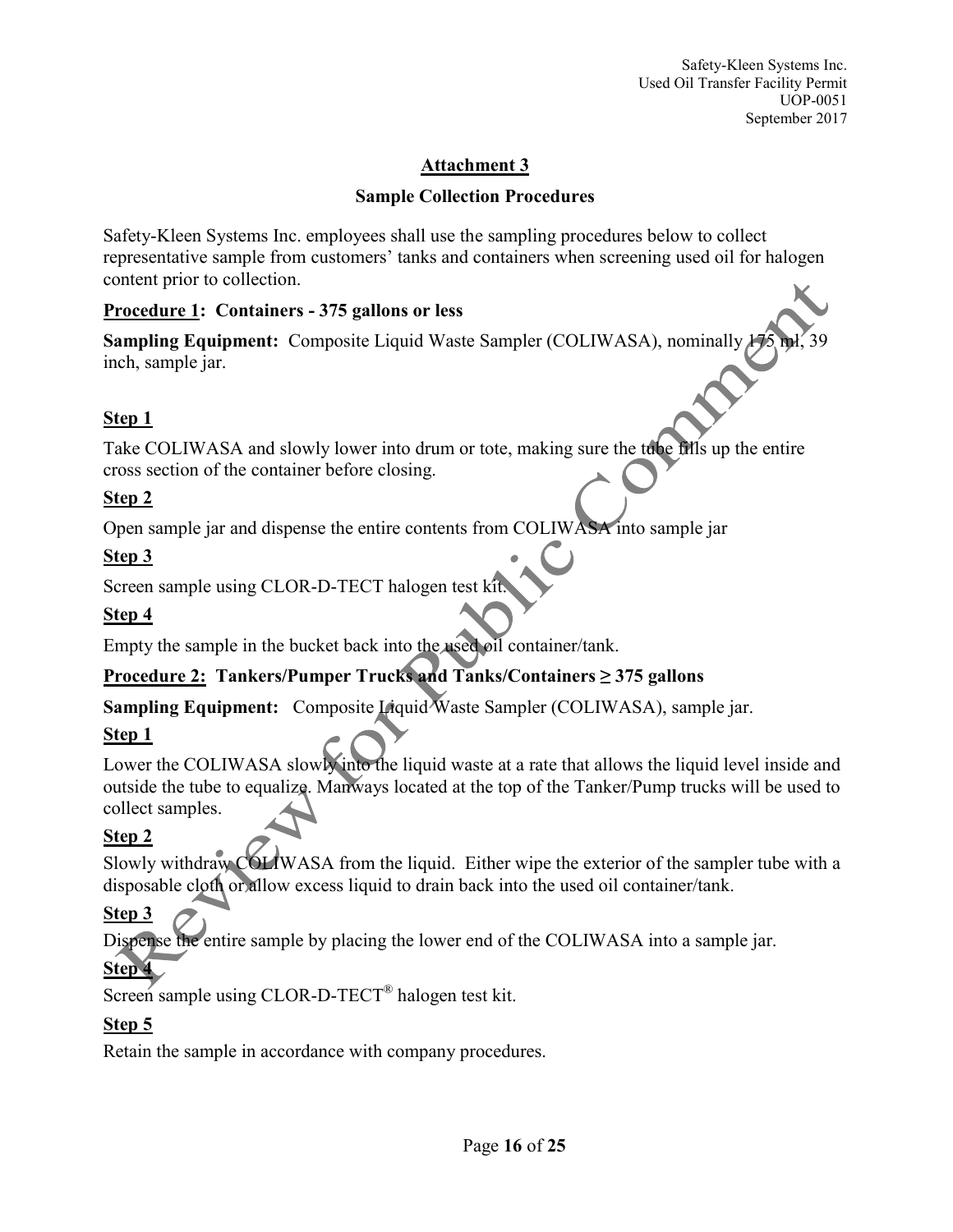## **Sample Collection Procedures**

Safety-Kleen Systems Inc. employees shall use the sampling procedures below to collect representative sample from customers' tanks and containers when screening used oil for halogen content prior to collection.

## **Procedure 1: Containers - 375 gallons or less**

**Sampling Equipment:** Composite Liquid Waste Sampler (COLIWASA), nominally  $\frac{1}{2}$ inch, sample jar.

# **Step 1**

Take COLIWASA and slowly lower into drum or tote, making sure the tube fills up the entire cross section of the container before closing.

## **Step 2**

Open sample jar and dispense the entire contents from COLIWASA into sample jar

# **Step 3**

Screen sample using CLOR-D-TECT halogen test k

# **Step 4**

Empty the sample in the bucket back into the used oil container/tank.

# **Procedure 2: Tankers/Pumper Trucks and Tanks/Containers ≥ 375 gallons**

**Sampling Equipment:** Composite Liquid Waste Sampler (COLIWASA), sample jar.

# **Step 1**

Lower the COLIWASA slowly into the liquid waste at a rate that allows the liquid level inside and outside the tube to equalize. Manways located at the top of the Tanker/Pump trucks will be used to collect samples.

# **Step 2**

Slowly withdraw COLIWASA from the liquid. Either wipe the exterior of the sampler tube with a disposable cloth or allow excess liquid to drain back into the used oil container/tank.

# **Step 3**

Dispense the entire sample by placing the lower end of the COLIWASA into a sample jar.

# **Step 4**

Screen sample using CLOR-D-TECT<sup>®</sup> halogen test kit.

# **Step 5**

Retain the sample in accordance with company procedures.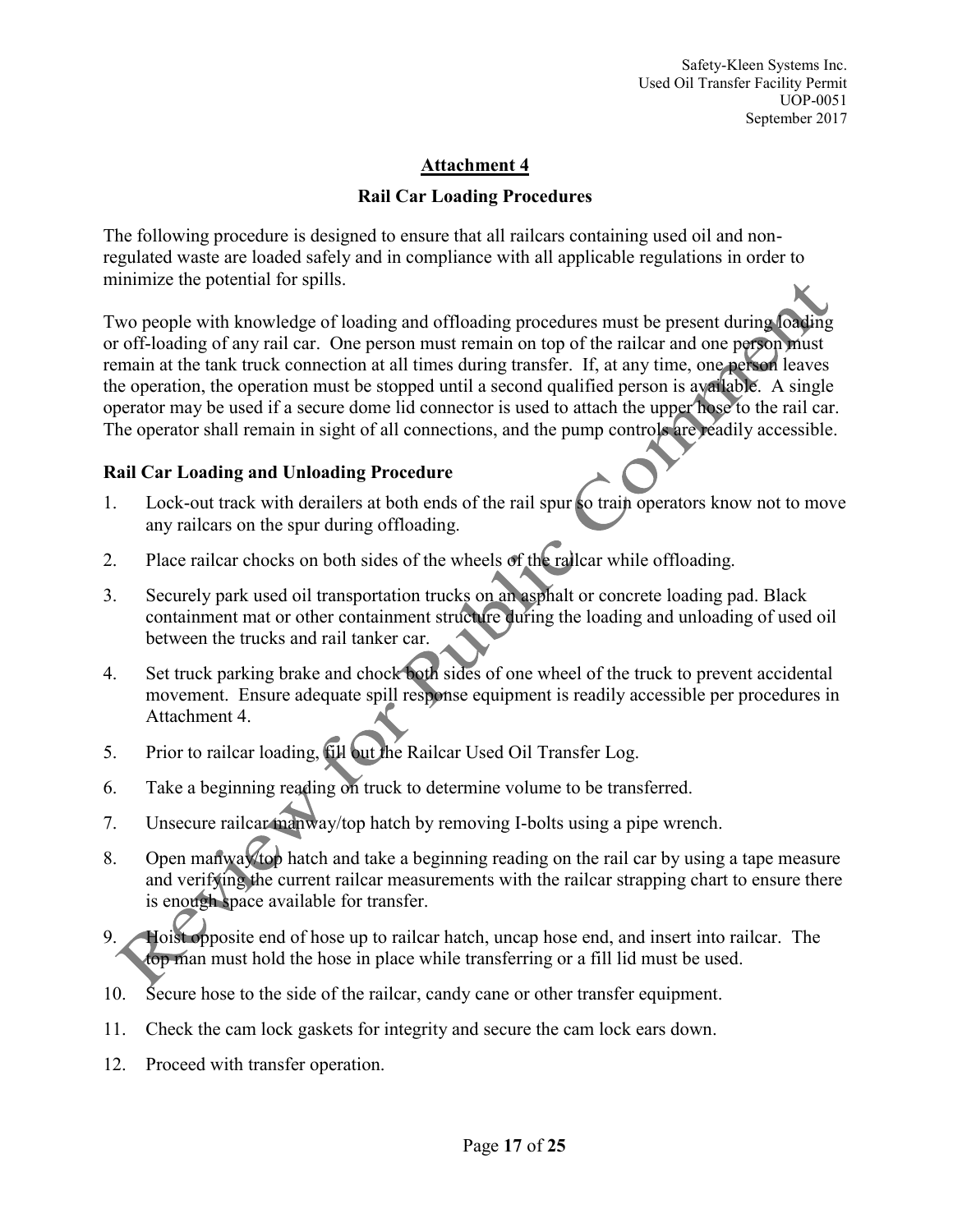#### **Rail Car Loading Procedures**

The following procedure is designed to ensure that all railcars containing used oil and nonregulated waste are loaded safely and in compliance with all applicable regulations in order to minimize the potential for spills.

Two people with knowledge of loading and offloading procedures must be present during loading or off-loading of any rail car. One person must remain on top of the railcar and one person must remain at the tank truck connection at all times during transfer. If, at any time, one person leaves the operation, the operation must be stopped until a second qualified person is available. A single operator may be used if a secure dome lid connector is used to attach the upper hose to the rail car. The operator shall remain in sight of all connections, and the pump controls are readily accessible.

#### **Rail Car Loading and Unloading Procedure**

- 1. Lock-out track with derailers at both ends of the rail spur so train operators know not to move any railcars on the spur during offloading.
- 2. Place railcar chocks on both sides of the wheels of the railcar while offloading.
- 3. Securely park used oil transportation trucks on an asphalt or concrete loading pad. Black containment mat or other containment structure during the loading and unloading of used oil between the trucks and rail tanker car.
- 4. Set truck parking brake and chock both sides of one wheel of the truck to prevent accidental movement. Ensure adequate spill response equipment is readily accessible per procedures in Attachment 4.
- 5. Prior to railcar loading, fill out the Railcar Used Oil Transfer Log.
- 6. Take a beginning reading on truck to determine volume to be transferred.
- 7. Unsecure railcar manway/top hatch by removing I-bolts using a pipe wrench.
- 8. Open manway to hatch and take a beginning reading on the rail car by using a tape measure and verifying the current railcar measurements with the railcar strapping chart to ensure there is enough space available for transfer.
- 9. Hoist opposite end of hose up to railcar hatch, uncap hose end, and insert into railcar. The top man must hold the hose in place while transferring or a fill lid must be used.
- 10. Secure hose to the side of the railcar, candy cane or other transfer equipment.
- 11. Check the cam lock gaskets for integrity and secure the cam lock ears down.
- 12. Proceed with transfer operation.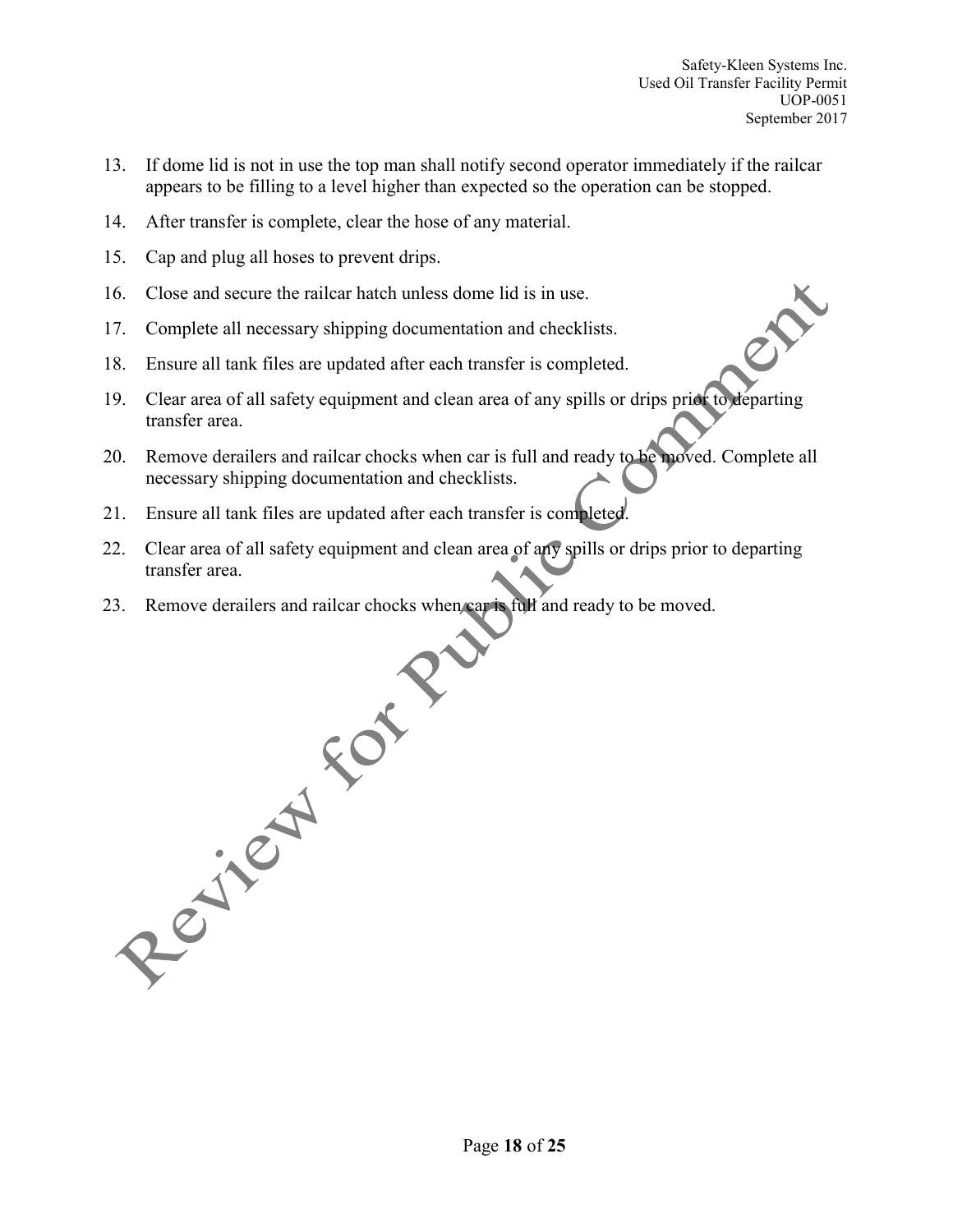- 13. If dome lid is not in use the top man shall notify second operator immediately if the railcar appears to be filling to a level higher than expected so the operation can be stopped.
- 14. After transfer is complete, clear the hose of any material.
- 15. Cap and plug all hoses to prevent drips.
- 16. Close and secure the railcar hatch unless dome lid is in use.
- 17. Complete all necessary shipping documentation and checklists.
- 18. Ensure all tank files are updated after each transfer is completed.
- 19. Clear area of all safety equipment and clean area of any spills or drips prior to departing transfer area.
- 20. Remove derailers and railcar chocks when car is full and ready to be moved. Complete all necessary shipping documentation and checklists.
- 21. Ensure all tank files are updated after each transfer is completed.
- 22. Clear area of all safety equipment and clean area of any spills or drips prior to departing transfer area.
- 23. Remove derailers and railcar chocks when car is full and ready to be moved.

Page **18** of **25**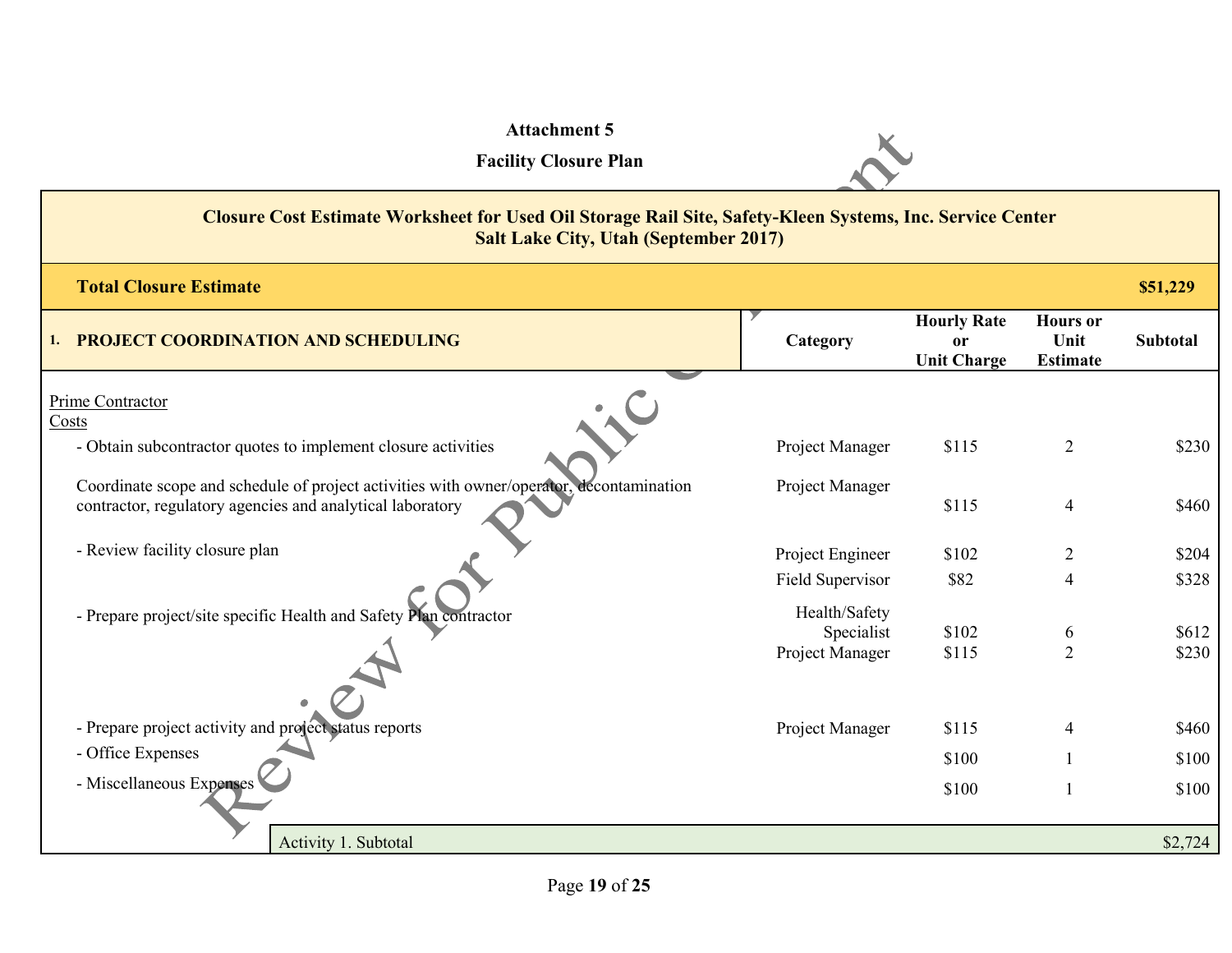| <b>Attachment 5</b><br><b>Facility Closure Plan</b>                                                                                                       |                                                |                                                |                                            |                 |  |  |
|-----------------------------------------------------------------------------------------------------------------------------------------------------------|------------------------------------------------|------------------------------------------------|--------------------------------------------|-----------------|--|--|
| Closure Cost Estimate Worksheet for Used Oil Storage Rail Site, Safety-Kleen Systems, Inc. Service Center<br><b>Salt Lake City, Utah (September 2017)</b> |                                                |                                                |                                            |                 |  |  |
| <b>Total Closure Estimate</b>                                                                                                                             |                                                |                                                |                                            | \$51,229        |  |  |
| 1. PROJECT COORDINATION AND SCHEDULING                                                                                                                    | Category                                       | <b>Hourly Rate</b><br>or<br><b>Unit Charge</b> | <b>Hours</b> or<br>Unit<br><b>Estimate</b> | <b>Subtotal</b> |  |  |
| Prime Contractor                                                                                                                                          |                                                |                                                |                                            |                 |  |  |
| Costs<br>- Obtain subcontractor quotes to implement closure activities                                                                                    | Project Manager                                | \$115                                          | $\overline{2}$                             | \$230           |  |  |
| Coordinate scope and schedule of project activities with owner/operator, decontamination<br>contractor, regulatory agencies and analytical laboratory     | Project Manager                                | \$115                                          | $\overline{4}$                             | \$460           |  |  |
| - Review facility closure plan                                                                                                                            | Project Engineer                               | \$102                                          | $\overline{2}$                             | \$204           |  |  |
|                                                                                                                                                           | Field Supervisor                               | \$82                                           | 4                                          | \$328           |  |  |
| - Prepare project/site specific Health and Safety Plan contractor                                                                                         | Health/Safety<br>Specialist<br>Project Manager | \$102<br>\$115                                 | 6<br>$\overline{2}$                        | \$612<br>\$230  |  |  |
| - Prepare project activity and project status reports                                                                                                     | Project Manager                                | \$115                                          | 4                                          | \$460           |  |  |
| - Office Expenses                                                                                                                                         |                                                | \$100                                          |                                            | \$100           |  |  |
| - Miscellaneous Expenses                                                                                                                                  |                                                | \$100                                          | $\mathbf{1}$                               | \$100           |  |  |
| Activity 1. Subtotal                                                                                                                                      |                                                |                                                |                                            | \$2,724         |  |  |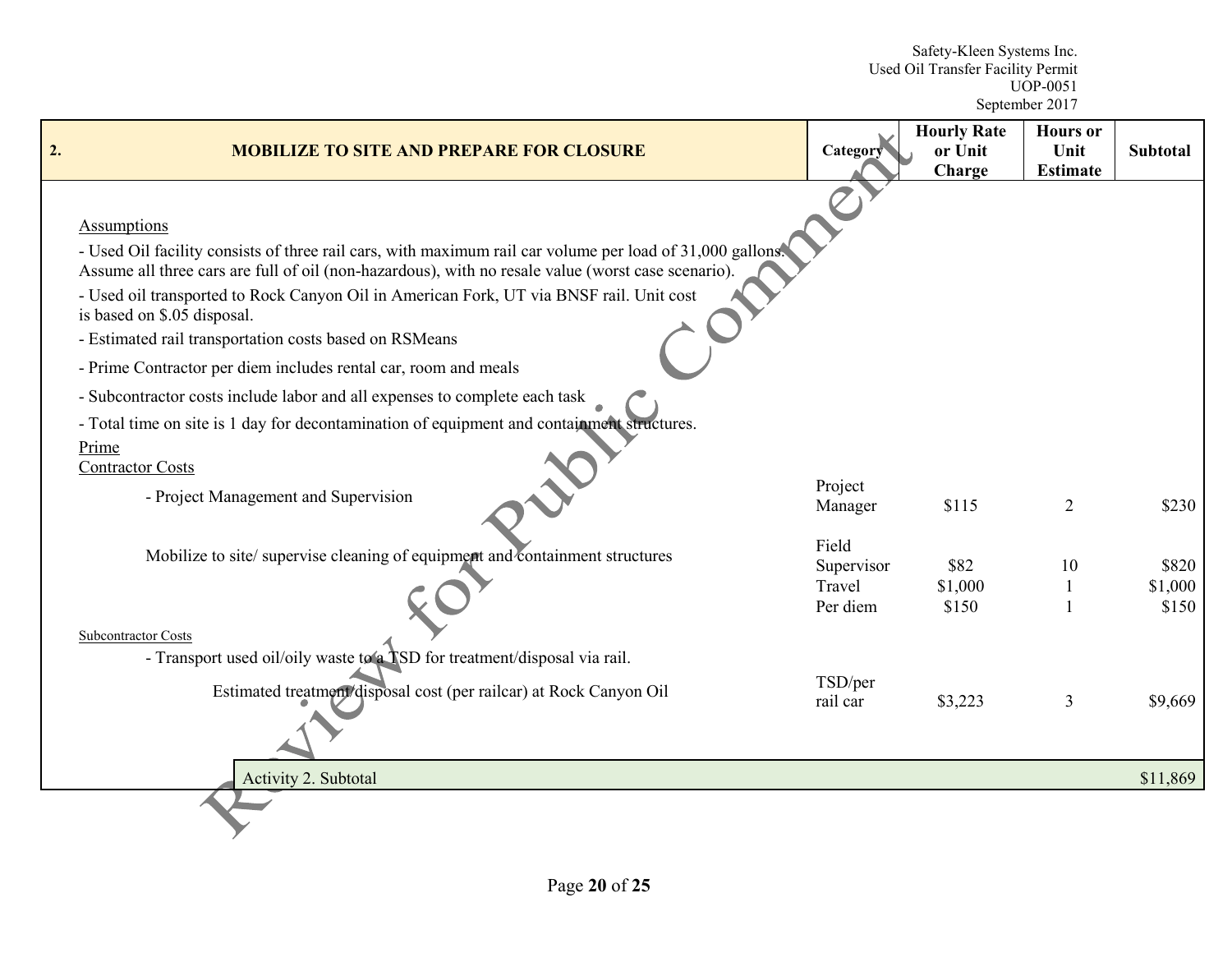Safety-Kleen Systems Inc. Used Oil Transfer Facility Permit UOP-0051 September 2017

| 2. | <b>MOBILIZE TO SITE AND PREPARE FOR CLOSURE</b>                                                                                                                                                                                                                                                                                                                                                                                                                                                                                                                                                                                                                                                              | Category                                  | <b>Hourly Rate</b><br>or Unit<br>Charge | <b>Hours</b> or<br>Unit<br><b>Estimate</b> | <b>Subtotal</b>           |
|----|--------------------------------------------------------------------------------------------------------------------------------------------------------------------------------------------------------------------------------------------------------------------------------------------------------------------------------------------------------------------------------------------------------------------------------------------------------------------------------------------------------------------------------------------------------------------------------------------------------------------------------------------------------------------------------------------------------------|-------------------------------------------|-----------------------------------------|--------------------------------------------|---------------------------|
|    | <b>Assumptions</b><br>- Used Oil facility consists of three rail cars, with maximum rail car volume per load of 31,000 gallons.<br>Assume all three cars are full of oil (non-hazardous), with no resale value (worst case scenario).<br>- Used oil transported to Rock Canyon Oil in American Fork, UT via BNSF rail. Unit cost<br>is based on \$.05 disposal.<br>- Estimated rail transportation costs based on RSMeans<br>- Prime Contractor per diem includes rental car, room and meals<br>- Subcontractor costs include labor and all expenses to complete each task<br>- Total time on site is 1 day for decontamination of equipment and containment structures.<br>Prime<br><b>Contractor Costs</b> |                                           |                                         |                                            |                           |
|    | - Project Management and Supervision                                                                                                                                                                                                                                                                                                                                                                                                                                                                                                                                                                                                                                                                         | Project<br>Manager                        | \$115                                   | $\overline{2}$                             | \$230                     |
|    | Mobilize to site/ supervise cleaning of equipment and containment structures<br><b>Subcontractor Costs</b>                                                                                                                                                                                                                                                                                                                                                                                                                                                                                                                                                                                                   | Field<br>Supervisor<br>Travel<br>Per diem | \$82<br>\$1,000<br>\$150                | 10<br>$\mathbf{1}$                         | \$820<br>\$1,000<br>\$150 |
|    | - Transport used oil/oily waste to a TSD for treatment/disposal via rail.<br>Estimated treatment/disposal cost (per railcar) at Rock Canyon Oil                                                                                                                                                                                                                                                                                                                                                                                                                                                                                                                                                              | TSD/per<br>rail car                       | \$3,223                                 | 3                                          | \$9,669                   |
|    | Activity 2. Subtotal                                                                                                                                                                                                                                                                                                                                                                                                                                                                                                                                                                                                                                                                                         |                                           |                                         |                                            | \$11,869                  |
|    |                                                                                                                                                                                                                                                                                                                                                                                                                                                                                                                                                                                                                                                                                                              |                                           |                                         |                                            |                           |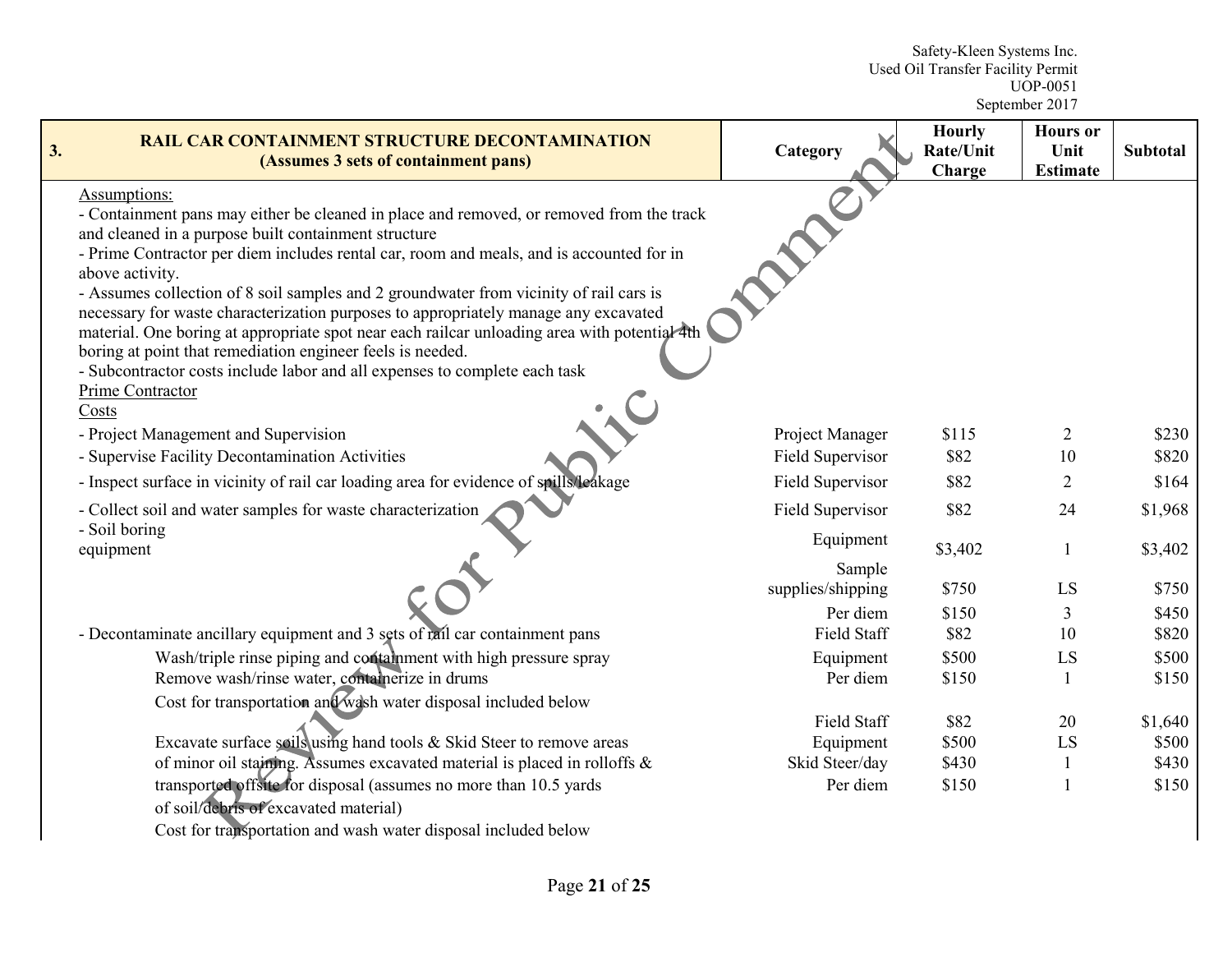Safety-Kleen Systems Inc. Used Oil Transfer Facility Permit UOP-0051 September 2017

| 3. | <b>RAIL CAR CONTAINMENT STRUCTURE DECONTAMINATION</b><br>(Assumes 3 sets of containment pans)                                                                                                                                                                                                                                                                                                                                                                                                                                                                                                                                                                                                                                             | Category            | <b>Hourly</b><br>Rate/Unit<br>Charge | <b>Hours</b> or<br>Unit<br><b>Estimate</b> | <b>Subtotal</b> |
|----|-------------------------------------------------------------------------------------------------------------------------------------------------------------------------------------------------------------------------------------------------------------------------------------------------------------------------------------------------------------------------------------------------------------------------------------------------------------------------------------------------------------------------------------------------------------------------------------------------------------------------------------------------------------------------------------------------------------------------------------------|---------------------|--------------------------------------|--------------------------------------------|-----------------|
|    | Assumptions:<br>- Containment pans may either be cleaned in place and removed, or removed from the track<br>and cleaned in a purpose built containment structure<br>- Prime Contractor per diem includes rental car, room and meals, and is accounted for in<br>above activity.<br>- Assumes collection of 8 soil samples and 2 groundwater from vicinity of rail cars is<br>necessary for waste characterization purposes to appropriately manage any excavated<br>material. One boring at appropriate spot near each railcar unloading area with potential 4th<br>boring at point that remediation engineer feels is needed.<br>- Subcontractor costs include labor and all expenses to complete each task<br>Prime Contractor<br>Costs |                     |                                      |                                            |                 |
|    | - Project Management and Supervision                                                                                                                                                                                                                                                                                                                                                                                                                                                                                                                                                                                                                                                                                                      | Project Manager     | \$115                                | $\overline{2}$                             | \$230           |
|    | - Supervise Facility Decontamination Activities                                                                                                                                                                                                                                                                                                                                                                                                                                                                                                                                                                                                                                                                                           | Field Supervisor    | \$82                                 | 10                                         | \$820           |
|    | - Inspect surface in vicinity of rail car loading area for evidence of spills/leakage                                                                                                                                                                                                                                                                                                                                                                                                                                                                                                                                                                                                                                                     | Field Supervisor    | \$82                                 | $\overline{2}$                             | \$164           |
|    | - Collect soil and water samples for waste characterization                                                                                                                                                                                                                                                                                                                                                                                                                                                                                                                                                                                                                                                                               | Field Supervisor    | \$82                                 | 24                                         | \$1,968         |
|    | - Soil boring<br>equipment                                                                                                                                                                                                                                                                                                                                                                                                                                                                                                                                                                                                                                                                                                                | Equipment<br>Sample | \$3,402                              |                                            | \$3,402         |
|    |                                                                                                                                                                                                                                                                                                                                                                                                                                                                                                                                                                                                                                                                                                                                           | supplies/shipping   | \$750                                | LS                                         | \$750           |
|    |                                                                                                                                                                                                                                                                                                                                                                                                                                                                                                                                                                                                                                                                                                                                           | Per diem            | \$150                                | 3                                          | \$450           |
|    | - Decontaminate ancillary equipment and 3 sets of rail car containment pans                                                                                                                                                                                                                                                                                                                                                                                                                                                                                                                                                                                                                                                               | Field Staff         | \$82                                 | 10                                         | \$820           |
|    | Wash/triple rinse piping and containment with high pressure spray                                                                                                                                                                                                                                                                                                                                                                                                                                                                                                                                                                                                                                                                         | Equipment           | \$500                                | LS                                         | \$500           |
|    | Remove wash/rinse water, containerize in drums                                                                                                                                                                                                                                                                                                                                                                                                                                                                                                                                                                                                                                                                                            | Per diem            | \$150                                | $\mathbf{1}$                               | \$150           |
|    | Cost for transportation and wash water disposal included below                                                                                                                                                                                                                                                                                                                                                                                                                                                                                                                                                                                                                                                                            |                     |                                      |                                            |                 |
|    |                                                                                                                                                                                                                                                                                                                                                                                                                                                                                                                                                                                                                                                                                                                                           | Field Staff         | \$82                                 | 20                                         | \$1,640         |
|    | Excavate surface soils using hand tools & Skid Steer to remove areas                                                                                                                                                                                                                                                                                                                                                                                                                                                                                                                                                                                                                                                                      | Equipment           | \$500                                | LS                                         | \$500           |
|    | of minor oil staining. Assumes excavated material is placed in rolloffs &                                                                                                                                                                                                                                                                                                                                                                                                                                                                                                                                                                                                                                                                 | Skid Steer/day      | \$430                                | 1                                          | \$430           |
|    | transported offsite for disposal (assumes no more than 10.5 yards<br>of soil/debris of excavated material)                                                                                                                                                                                                                                                                                                                                                                                                                                                                                                                                                                                                                                | Per diem            | \$150                                |                                            | \$150           |

Cost for transportation and wash water disposal included below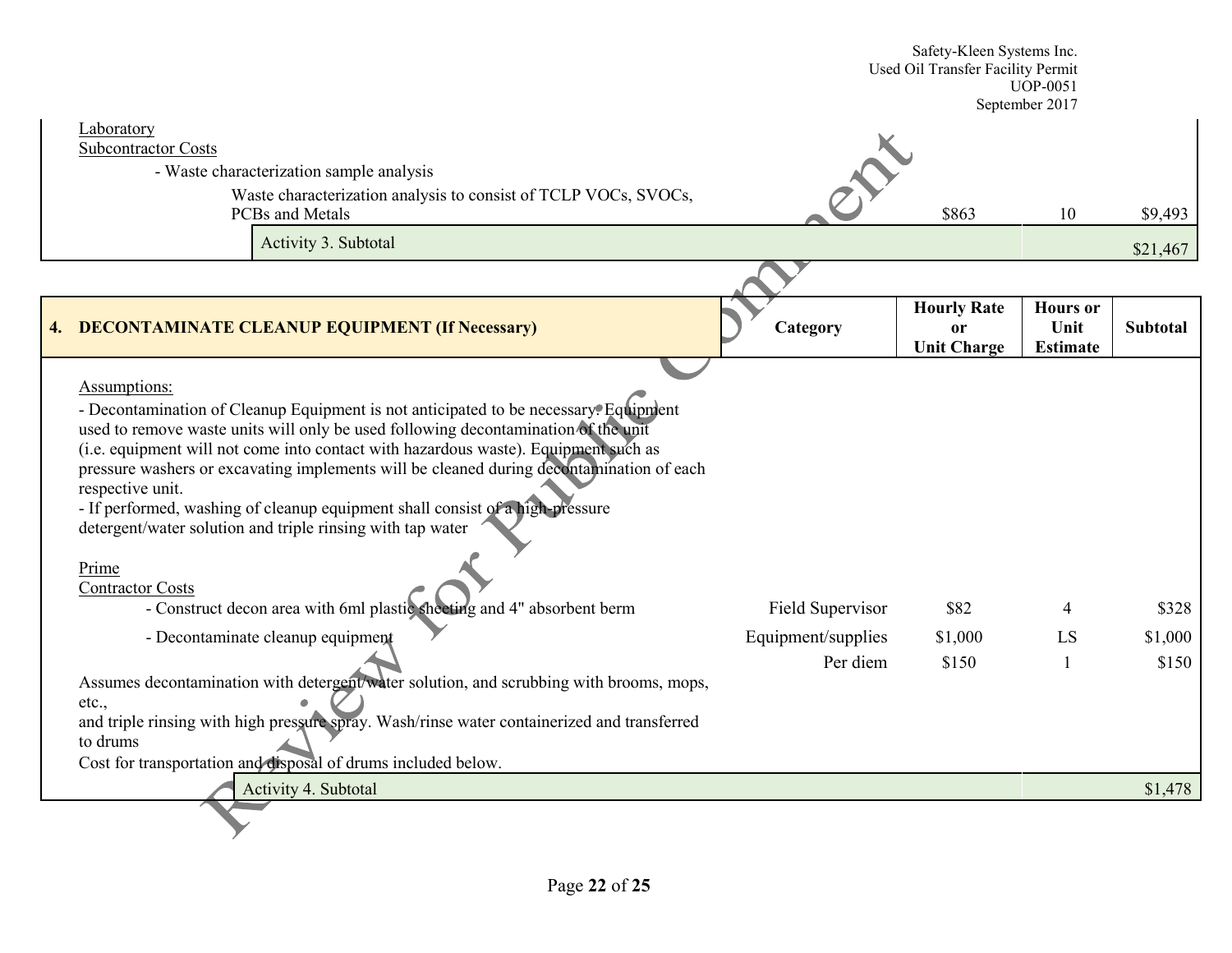|                                                                                                                                                                                                                                                                                                                                                                                                                                                                                                                                                                                                                                                                                                                                                                                                                                                                                                                                                                                                             |                                                    | Safety-Kleen Systems Inc.<br>Used Oil Transfer Facility Permit | <b>UOP-0051</b><br>September 2017          |                                      |
|-------------------------------------------------------------------------------------------------------------------------------------------------------------------------------------------------------------------------------------------------------------------------------------------------------------------------------------------------------------------------------------------------------------------------------------------------------------------------------------------------------------------------------------------------------------------------------------------------------------------------------------------------------------------------------------------------------------------------------------------------------------------------------------------------------------------------------------------------------------------------------------------------------------------------------------------------------------------------------------------------------------|----------------------------------------------------|----------------------------------------------------------------|--------------------------------------------|--------------------------------------|
| Laboratory<br><b>Subcontractor Costs</b><br>- Waste characterization sample analysis<br>Waste characterization analysis to consist of TCLP VOCs, SVOCs,<br><b>PCBs</b> and Metals<br>Activity 3. Subtotal                                                                                                                                                                                                                                                                                                                                                                                                                                                                                                                                                                                                                                                                                                                                                                                                   |                                                    | \$863                                                          | 10                                         | \$9,493                              |
|                                                                                                                                                                                                                                                                                                                                                                                                                                                                                                                                                                                                                                                                                                                                                                                                                                                                                                                                                                                                             |                                                    |                                                                |                                            | \$21,467                             |
| 4. DECONTAMINATE CLEANUP EQUIPMENT (If Necessary)                                                                                                                                                                                                                                                                                                                                                                                                                                                                                                                                                                                                                                                                                                                                                                                                                                                                                                                                                           | Category                                           | <b>Hourly Rate</b><br>or<br><b>Unit Charge</b>                 | <b>Hours</b> or<br>Unit<br><b>Estimate</b> | <b>Subtotal</b>                      |
| Assumptions:<br>- Decontamination of Cleanup Equipment is not anticipated to be necessary. Equipment<br>used to remove waste units will only be used following decontamination of the unit<br>(i.e. equipment will not come into contact with hazardous waste). Equipment such as<br>pressure washers or excavating implements will be cleaned during decontamination of each<br>respective unit.<br>- If performed, washing of cleanup equipment shall consist of a high-pressure<br>detergent/water solution and triple rinsing with tap water<br>Prime<br><b>Contractor Costs</b><br>- Construct decon area with 6ml plastic sheeting and 4" absorbent berm<br>- Decontaminate cleanup equipment<br>Assumes decontamination with detergent/water solution, and scrubbing with brooms, mops,<br>etc.,<br>and triple rinsing with high pressure spray. Wash/rinse water containerized and transferred<br>to drums<br>Cost for transportation and disposal of drums included below.<br>Activity 4. Subtotal | Field Supervisor<br>Equipment/supplies<br>Per diem | \$82<br>\$1,000<br>\$150                                       | 4<br>LS<br>$\mathbf{1}$                    | \$328<br>\$1,000<br>\$150<br>\$1,478 |
|                                                                                                                                                                                                                                                                                                                                                                                                                                                                                                                                                                                                                                                                                                                                                                                                                                                                                                                                                                                                             |                                                    |                                                                |                                            |                                      |
|                                                                                                                                                                                                                                                                                                                                                                                                                                                                                                                                                                                                                                                                                                                                                                                                                                                                                                                                                                                                             |                                                    |                                                                |                                            |                                      |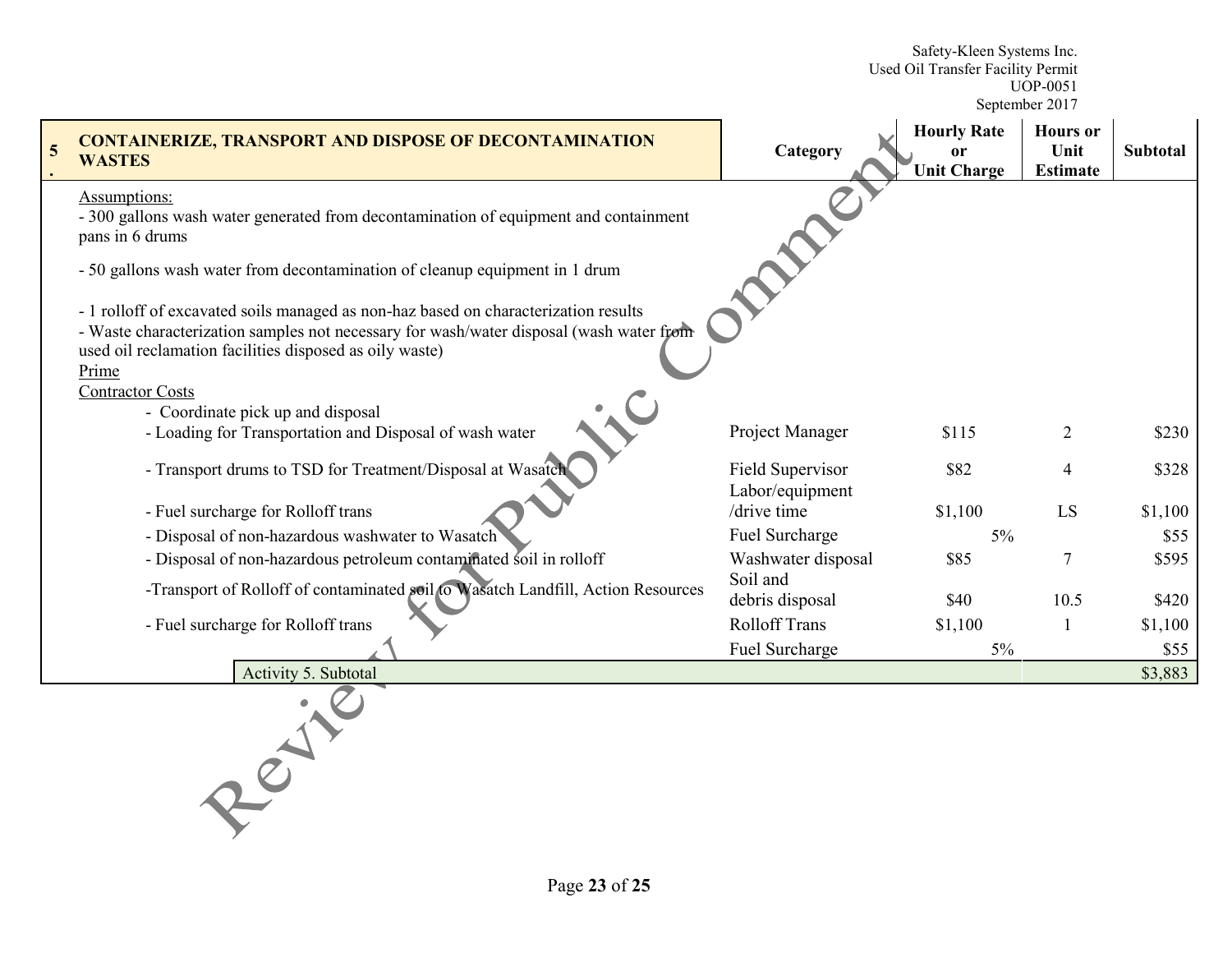Safety-Kleen Systems Inc. Used Oil Transfer Facility Permit UOP-0051

September 2017

| <b>CONTAINERIZE, TRANSPORT AND DISPOSE OF DECONTAMINATION</b><br><b>WASTES</b>                                                                                                                                                                                                | Category                            | <b>Hourly Rate</b><br>0r<br><b>Unit Charge</b> | <b>Hours</b> or<br>Unit<br><b>Estimate</b> | Subtotal |
|-------------------------------------------------------------------------------------------------------------------------------------------------------------------------------------------------------------------------------------------------------------------------------|-------------------------------------|------------------------------------------------|--------------------------------------------|----------|
| <b>Assumptions:</b><br>- 300 gallons wash water generated from decontamination of equipment and containment<br>pans in 6 drums                                                                                                                                                |                                     |                                                |                                            |          |
| - 50 gallons wash water from decontamination of cleanup equipment in 1 drum                                                                                                                                                                                                   |                                     |                                                |                                            |          |
| - 1 rolloff of excavated soils managed as non-haz based on characterization results<br>- Waste characterization samples not necessary for wash/water disposal (wash water from<br>used oil reclamation facilities disposed as oily waste)<br>Prime<br><b>Contractor Costs</b> |                                     |                                                |                                            |          |
| - Coordinate pick up and disposal<br>- Loading for Transportation and Disposal of wash water                                                                                                                                                                                  | Project Manager                     | \$115                                          | $\overline{2}$                             | \$230    |
| - Transport drums to TSD for Treatment/Disposal at Wasatch                                                                                                                                                                                                                    | Field Supervisor<br>Labor/equipment | \$82                                           | 4                                          | \$328    |
| - Fuel surcharge for Rolloff trans                                                                                                                                                                                                                                            | /drive time                         | \$1,100                                        | LS                                         | \$1,100  |
| - Disposal of non-hazardous washwater to Wasatch                                                                                                                                                                                                                              | Fuel Surcharge                      | $5\%$                                          |                                            | \$55     |
| - Disposal of non-hazardous petroleum contaminated soil in rolloff                                                                                                                                                                                                            | Washwater disposal                  | \$85                                           | $\overline{7}$                             | \$595    |
| -Transport of Rolloff of contaminated soil to Wasatch Landfill, Action Resources                                                                                                                                                                                              | Soil and<br>debris disposal         | \$40                                           | 10.5                                       | \$420    |
| - Fuel surcharge for Rolloff trans                                                                                                                                                                                                                                            | <b>Rolloff Trans</b>                | \$1,100                                        | 1                                          | \$1,100  |
|                                                                                                                                                                                                                                                                               | Fuel Surcharge                      | $5\%$                                          |                                            | \$55     |
| Activity 5. Subtotal                                                                                                                                                                                                                                                          |                                     |                                                |                                            | \$3,883  |
| $\overline{e}$                                                                                                                                                                                                                                                                |                                     |                                                |                                            |          |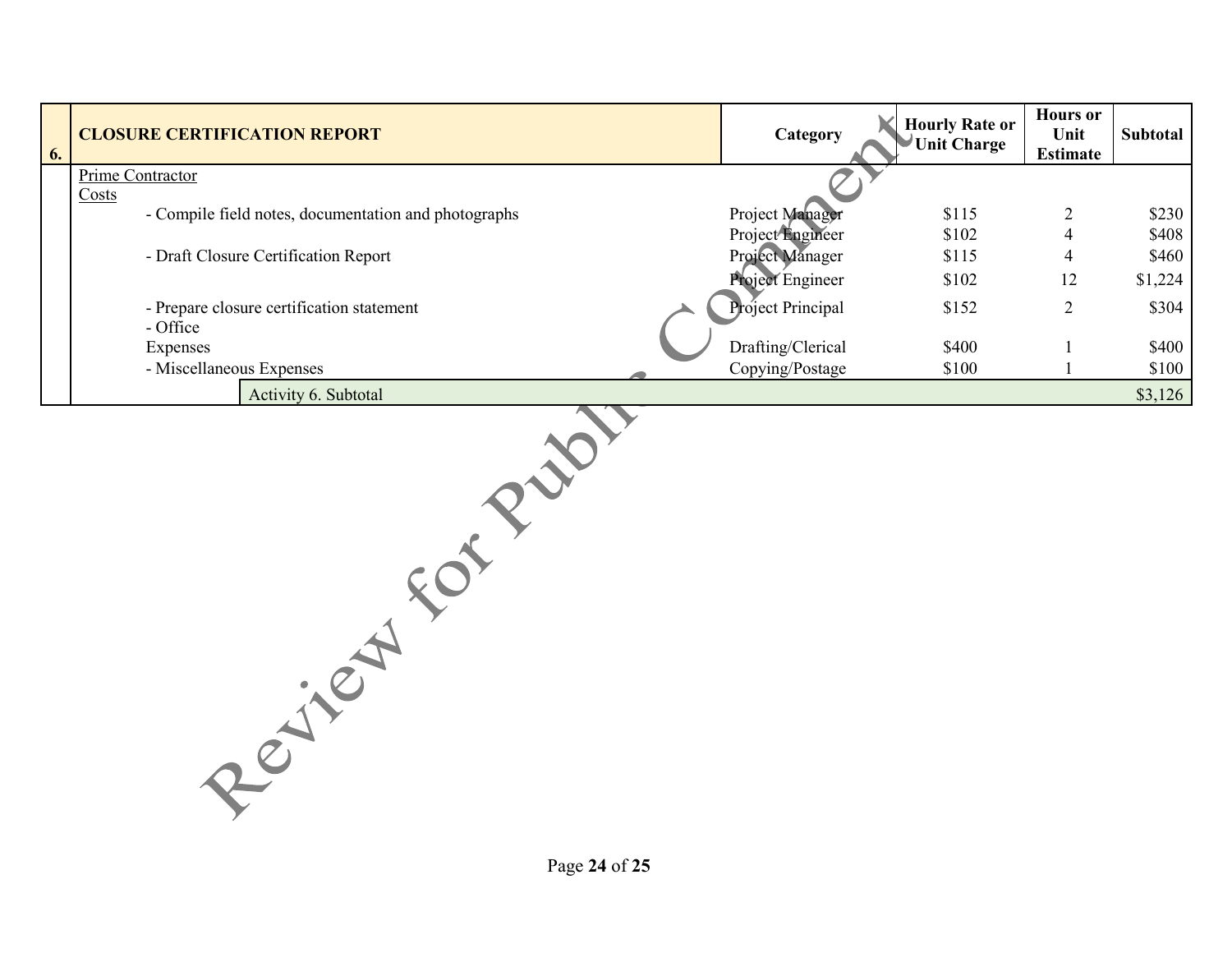| 6. | <b>CLOSURE CERTIFICATION REPORT</b>                  | Category          | <b>Hourly Rate or</b><br>Unit Charge | <b>Hours</b> or<br>Unit<br><b>Estimate</b> | <b>Subtotal</b> |
|----|------------------------------------------------------|-------------------|--------------------------------------|--------------------------------------------|-----------------|
|    | Prime Contractor<br>Costs                            |                   |                                      |                                            |                 |
|    | - Compile field notes, documentation and photographs | Project Manager   | \$115                                | $\overline{2}$                             | \$230           |
|    |                                                      | Project Engineer  | \$102                                | 4                                          | \$408           |
|    | - Draft Closure Certification Report                 | Project Manager   | \$115                                | 4                                          | \$460           |
|    |                                                      | Project Engineer  | \$102                                | 12                                         | \$1,224         |
|    | - Prepare closure certification statement            | Project Principal | \$152                                | $\overline{2}$                             | \$304           |
|    | - Office                                             |                   |                                      |                                            |                 |
|    | Expenses                                             | Drafting/Clerical | \$400                                |                                            | \$400           |
|    | - Miscellaneous Expenses                             | Copying/Postage   | \$100                                |                                            | \$100           |
|    | Activity 6. Subtotal                                 |                   |                                      |                                            | \$3,126         |
|    |                                                      |                   |                                      |                                            |                 |